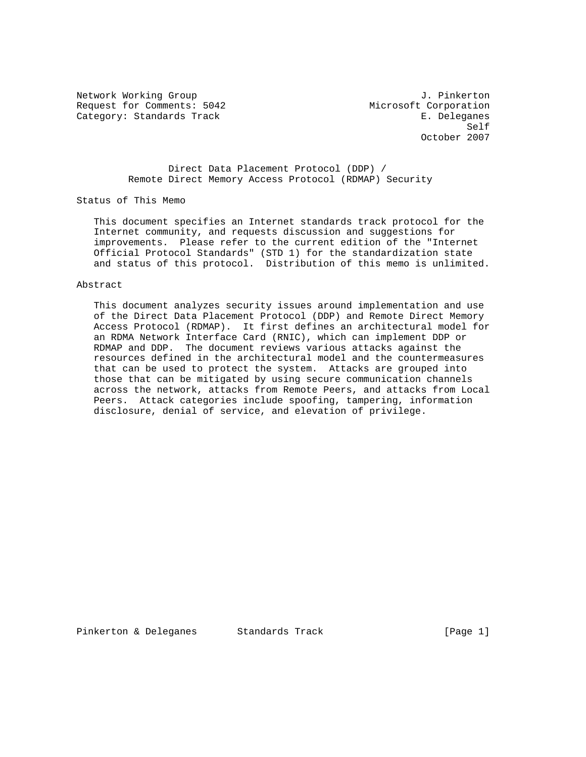Network Working Group and Alexander Controller and Alexander Controller and Alexander Controller and J. Pinkerton Request for Comments: 5042 Microsoft Corporation Category: Standards Track E. Deleganes

Self and the self-control of the self-control of the self-control of the self-control of the self-control of the self-control of the self-control of the self-control of the self-control of the self-control of the self-cont October 2007

> Direct Data Placement Protocol (DDP) / Remote Direct Memory Access Protocol (RDMAP) Security

Status of This Memo

 This document specifies an Internet standards track protocol for the Internet community, and requests discussion and suggestions for improvements. Please refer to the current edition of the "Internet Official Protocol Standards" (STD 1) for the standardization state and status of this protocol. Distribution of this memo is unlimited.

#### Abstract

 This document analyzes security issues around implementation and use of the Direct Data Placement Protocol (DDP) and Remote Direct Memory Access Protocol (RDMAP). It first defines an architectural model for an RDMA Network Interface Card (RNIC), which can implement DDP or RDMAP and DDP. The document reviews various attacks against the resources defined in the architectural model and the countermeasures that can be used to protect the system. Attacks are grouped into those that can be mitigated by using secure communication channels across the network, attacks from Remote Peers, and attacks from Local Peers. Attack categories include spoofing, tampering, information disclosure, denial of service, and elevation of privilege.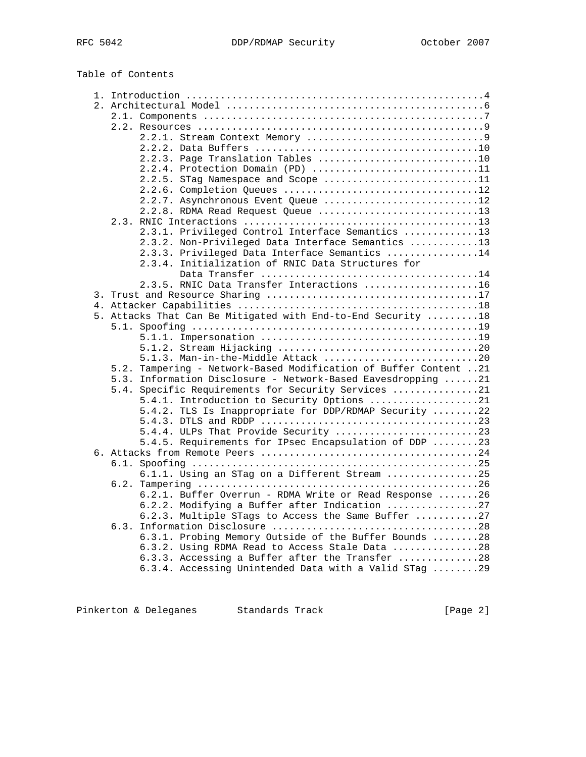Table of Contents

| 2.2.3. Page Translation Tables 10                                |  |  |  |
|------------------------------------------------------------------|--|--|--|
| 2.2.4. Protection Domain (PD) 11                                 |  |  |  |
| 2.2.5. STag Namespace and Scope 11                               |  |  |  |
|                                                                  |  |  |  |
| 2.2.7. Asynchronous Event Queue 12                               |  |  |  |
| 2.2.8. RDMA Read Request Queue 13                                |  |  |  |
|                                                                  |  |  |  |
| 2.3.1. Privileged Control Interface Semantics 13                 |  |  |  |
| 2.3.2. Non-Privileged Data Interface Semantics 13                |  |  |  |
| 2.3.3. Privileged Data Interface Semantics 14                    |  |  |  |
| 2.3.4. Initialization of RNIC Data Structures for                |  |  |  |
|                                                                  |  |  |  |
| 2.3.5. RNIC Data Transfer Interactions 16                        |  |  |  |
|                                                                  |  |  |  |
|                                                                  |  |  |  |
| 5. Attacks That Can Be Mitigated with End-to-End Security  18    |  |  |  |
|                                                                  |  |  |  |
|                                                                  |  |  |  |
|                                                                  |  |  |  |
| 5.1.3. Man-in-the-Middle Attack 20                               |  |  |  |
| 5.2. Tampering - Network-Based Modification of Buffer Content 21 |  |  |  |
| 5.3. Information Disclosure - Network-Based Eavesdropping 21     |  |  |  |
| 5.4. Specific Requirements for Security Services 21              |  |  |  |
| 5.4.1. Introduction to Security Options 21                       |  |  |  |
| 5.4.2. TLS Is Inappropriate for DDP/RDMAP Security 22            |  |  |  |
|                                                                  |  |  |  |
| 5.4.4. ULPs That Provide Security 23                             |  |  |  |
| 5.4.5. Requirements for IPsec Encapsulation of DDP 23            |  |  |  |
|                                                                  |  |  |  |
|                                                                  |  |  |  |
| 6.1.1. Using an STag on a Different Stream 25                    |  |  |  |
| 6.2.                                                             |  |  |  |
| 6.2.1. Buffer Overrun - RDMA Write or Read Response 26           |  |  |  |
| 6.2.2. Modifying a Buffer after Indication 27                    |  |  |  |
| 6.2.3. Multiple STags to Access the Same Buffer 27               |  |  |  |
| 6.3.                                                             |  |  |  |
| 6.3.1. Probing Memory Outside of the Buffer Bounds 28            |  |  |  |
| 6.3.2. Using RDMA Read to Access Stale Data 28                   |  |  |  |
| 6.3.3. Accessing a Buffer after the Transfer 28                  |  |  |  |
| 6.3.4. Accessing Unintended Data with a Valid STag 29            |  |  |  |

Pinkerton & Deleganes Standards Track (Page 2)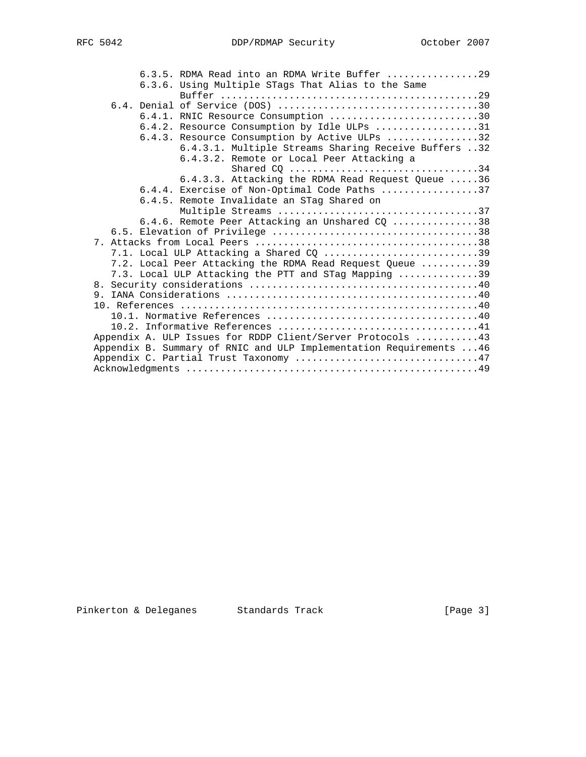|  | 6.3.5. RDMA Read into an RDMA Write Buffer $\ldots \ldots \ldots \ldots$ |
|--|--------------------------------------------------------------------------|
|  | 6.3.6. Using Multiple STags That Alias to the Same                       |
|  |                                                                          |
|  |                                                                          |
|  | 6.4.1. RNIC Resource Consumption 30                                      |
|  | 6.4.2. Resource Consumption by Idle ULPs 31                              |
|  | 6.4.3. Resource Consumption by Active ULPs 32                            |
|  | 6.4.3.1. Multiple Streams Sharing Receive Buffers 32                     |
|  | 6.4.3.2. Remote or Local Peer Attacking a                                |
|  | Shared CQ 34                                                             |
|  | 6.4.3.3. Attacking the RDMA Read Request Queue 36                        |
|  | 6.4.4. Exercise of Non-Optimal Code Paths 37                             |
|  | 6.4.5. Remote Invalidate an STag Shared on                               |
|  | Multiple Streams 37                                                      |
|  | 6.4.6. Remote Peer Attacking an Unshared CQ 38                           |
|  |                                                                          |
|  |                                                                          |
|  | 7.1. Local ULP Attacking a Shared CQ 39                                  |
|  | 7.2. Local Peer Attacking the RDMA Read Request Queue 39                 |
|  | 7.3. Local ULP Attacking the PTT and STag Mapping 39                     |
|  |                                                                          |
|  |                                                                          |
|  |                                                                          |
|  |                                                                          |
|  | Appendix A. ULP Issues for RDDP Client/Server Protocols  43              |
|  | Appendix B. Summary of RNIC and ULP Implementation Requirements  46      |
|  | Appendix C. Partial Trust Taxonomy 47                                    |
|  |                                                                          |
|  |                                                                          |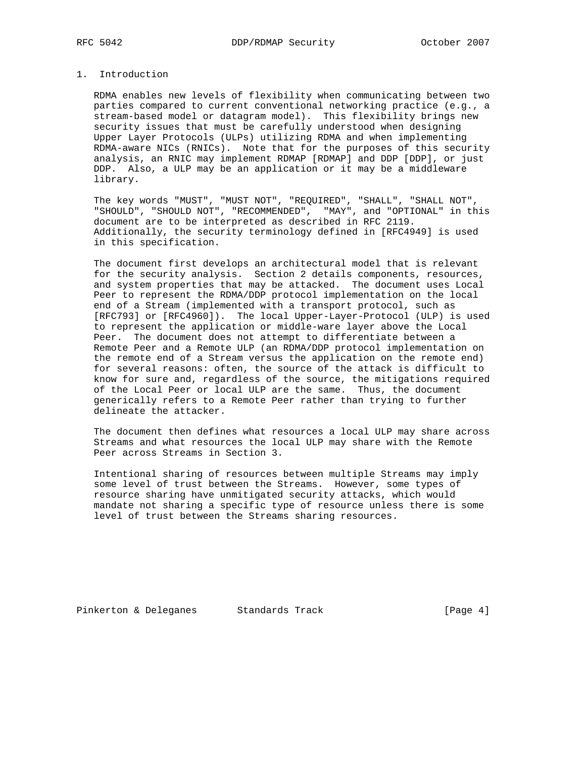## 1. Introduction

 RDMA enables new levels of flexibility when communicating between two parties compared to current conventional networking practice (e.g., a stream-based model or datagram model). This flexibility brings new security issues that must be carefully understood when designing Upper Layer Protocols (ULPs) utilizing RDMA and when implementing RDMA-aware NICs (RNICs). Note that for the purposes of this security analysis, an RNIC may implement RDMAP [RDMAP] and DDP [DDP], or just DDP. Also, a ULP may be an application or it may be a middleware library.

 The key words "MUST", "MUST NOT", "REQUIRED", "SHALL", "SHALL NOT", "SHOULD", "SHOULD NOT", "RECOMMENDED", "MAY", and "OPTIONAL" in this document are to be interpreted as described in RFC 2119. Additionally, the security terminology defined in [RFC4949] is used in this specification.

 The document first develops an architectural model that is relevant for the security analysis. Section 2 details components, resources, and system properties that may be attacked. The document uses Local Peer to represent the RDMA/DDP protocol implementation on the local end of a Stream (implemented with a transport protocol, such as [RFC793] or [RFC4960]). The local Upper-Layer-Protocol (ULP) is used to represent the application or middle-ware layer above the Local Peer. The document does not attempt to differentiate between a Remote Peer and a Remote ULP (an RDMA/DDP protocol implementation on the remote end of a Stream versus the application on the remote end) for several reasons: often, the source of the attack is difficult to know for sure and, regardless of the source, the mitigations required of the Local Peer or local ULP are the same. Thus, the document generically refers to a Remote Peer rather than trying to further delineate the attacker.

 The document then defines what resources a local ULP may share across Streams and what resources the local ULP may share with the Remote Peer across Streams in Section 3.

 Intentional sharing of resources between multiple Streams may imply some level of trust between the Streams. However, some types of resource sharing have unmitigated security attacks, which would mandate not sharing a specific type of resource unless there is some level of trust between the Streams sharing resources.

Pinkerton & Deleganes Standards Track [Page 4]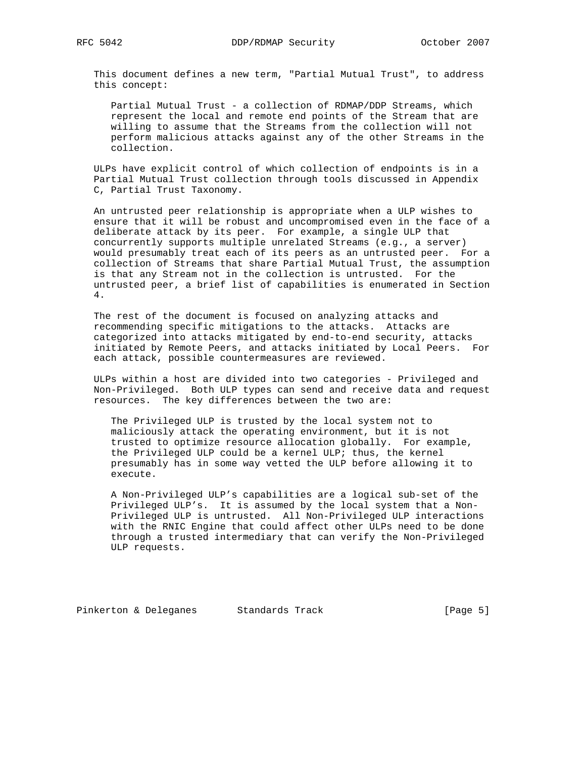This document defines a new term, "Partial Mutual Trust", to address this concept:

 Partial Mutual Trust - a collection of RDMAP/DDP Streams, which represent the local and remote end points of the Stream that are willing to assume that the Streams from the collection will not perform malicious attacks against any of the other Streams in the collection.

 ULPs have explicit control of which collection of endpoints is in a Partial Mutual Trust collection through tools discussed in Appendix C, Partial Trust Taxonomy.

 An untrusted peer relationship is appropriate when a ULP wishes to ensure that it will be robust and uncompromised even in the face of a deliberate attack by its peer. For example, a single ULP that concurrently supports multiple unrelated Streams (e.g., a server) would presumably treat each of its peers as an untrusted peer. For a collection of Streams that share Partial Mutual Trust, the assumption is that any Stream not in the collection is untrusted. For the untrusted peer, a brief list of capabilities is enumerated in Section 4.

 The rest of the document is focused on analyzing attacks and recommending specific mitigations to the attacks. Attacks are categorized into attacks mitigated by end-to-end security, attacks initiated by Remote Peers, and attacks initiated by Local Peers. For each attack, possible countermeasures are reviewed.

 ULPs within a host are divided into two categories - Privileged and Non-Privileged. Both ULP types can send and receive data and request resources. The key differences between the two are:

 The Privileged ULP is trusted by the local system not to maliciously attack the operating environment, but it is not trusted to optimize resource allocation globally. For example, the Privileged ULP could be a kernel ULP; thus, the kernel presumably has in some way vetted the ULP before allowing it to execute.

 A Non-Privileged ULP's capabilities are a logical sub-set of the Privileged ULP's. It is assumed by the local system that a Non- Privileged ULP is untrusted. All Non-Privileged ULP interactions with the RNIC Engine that could affect other ULPs need to be done through a trusted intermediary that can verify the Non-Privileged ULP requests.

Pinkerton & Deleganes Standards Track [Page 5]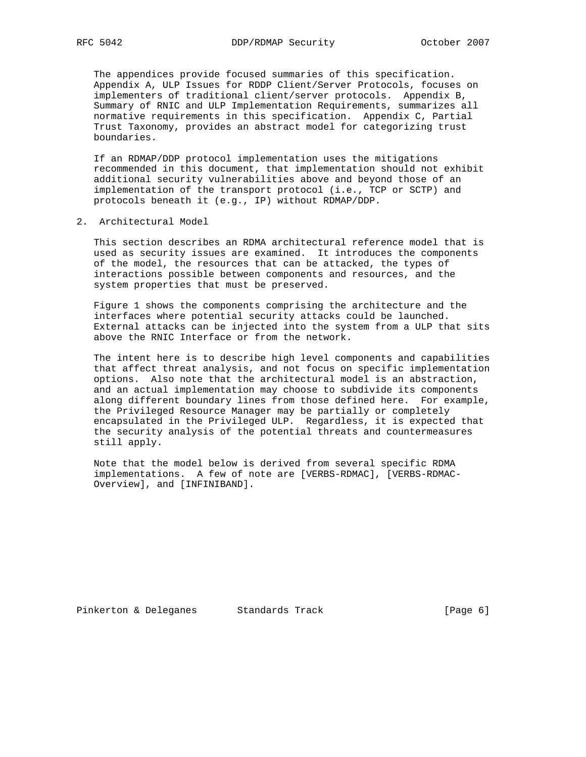The appendices provide focused summaries of this specification. Appendix A, ULP Issues for RDDP Client/Server Protocols, focuses on implementers of traditional client/server protocols. Appendix B, Summary of RNIC and ULP Implementation Requirements, summarizes all normative requirements in this specification. Appendix C, Partial Trust Taxonomy, provides an abstract model for categorizing trust boundaries.

 If an RDMAP/DDP protocol implementation uses the mitigations recommended in this document, that implementation should not exhibit additional security vulnerabilities above and beyond those of an implementation of the transport protocol (i.e., TCP or SCTP) and protocols beneath it (e.g., IP) without RDMAP/DDP.

2. Architectural Model

 This section describes an RDMA architectural reference model that is used as security issues are examined. It introduces the components of the model, the resources that can be attacked, the types of interactions possible between components and resources, and the system properties that must be preserved.

 Figure 1 shows the components comprising the architecture and the interfaces where potential security attacks could be launched. External attacks can be injected into the system from a ULP that sits above the RNIC Interface or from the network.

 The intent here is to describe high level components and capabilities that affect threat analysis, and not focus on specific implementation options. Also note that the architectural model is an abstraction, and an actual implementation may choose to subdivide its components along different boundary lines from those defined here. For example, the Privileged Resource Manager may be partially or completely encapsulated in the Privileged ULP. Regardless, it is expected that the security analysis of the potential threats and countermeasures still apply.

 Note that the model below is derived from several specific RDMA implementations. A few of note are [VERBS-RDMAC], [VERBS-RDMAC- Overview], and [INFINIBAND].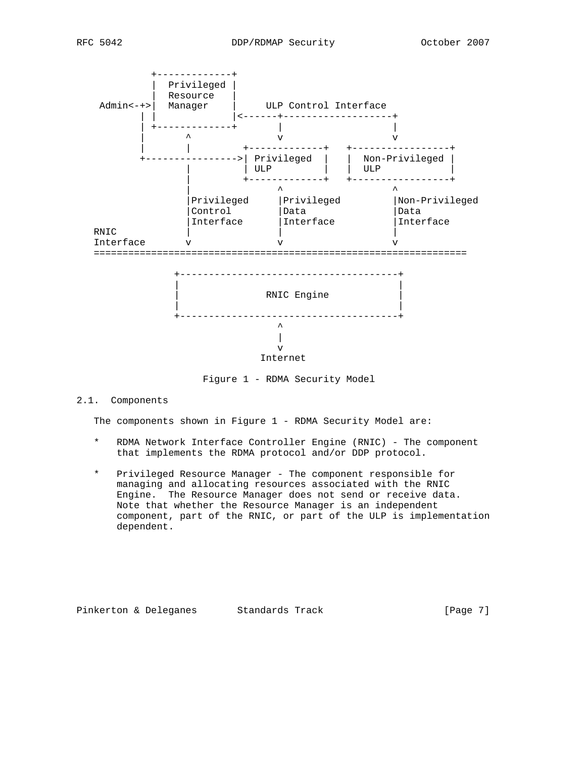

Figure 1 - RDMA Security Model

2.1. Components

The components shown in Figure 1 - RDMA Security Model are:

- \* RDMA Network Interface Controller Engine (RNIC) The component that implements the RDMA protocol and/or DDP protocol.
- \* Privileged Resource Manager The component responsible for managing and allocating resources associated with the RNIC Engine. The Resource Manager does not send or receive data. Note that whether the Resource Manager is an independent component, part of the RNIC, or part of the ULP is implementation dependent.

Pinkerton & Deleganes Standards Track [Page 7]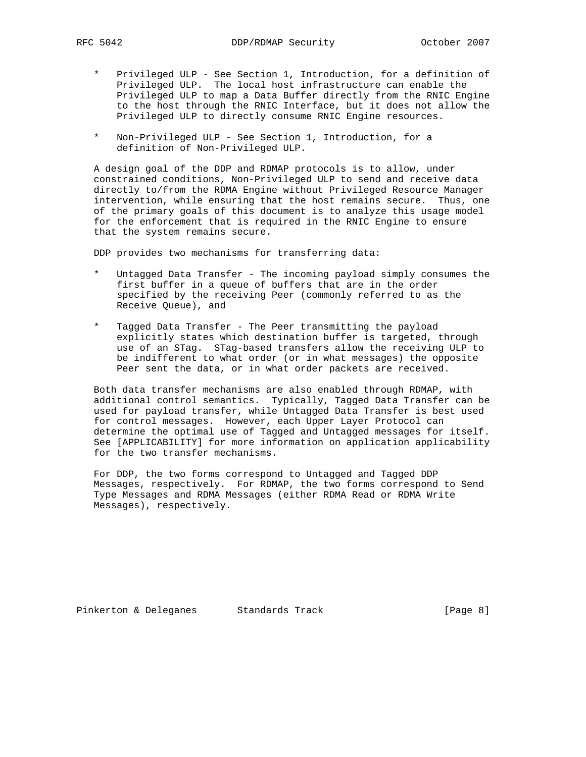- \* Privileged ULP See Section 1, Introduction, for a definition of Privileged ULP. The local host infrastructure can enable the Privileged ULP to map a Data Buffer directly from the RNIC Engine to the host through the RNIC Interface, but it does not allow the Privileged ULP to directly consume RNIC Engine resources.
- \* Non-Privileged ULP See Section 1, Introduction, for a definition of Non-Privileged ULP.

 A design goal of the DDP and RDMAP protocols is to allow, under constrained conditions, Non-Privileged ULP to send and receive data directly to/from the RDMA Engine without Privileged Resource Manager intervention, while ensuring that the host remains secure. Thus, one of the primary goals of this document is to analyze this usage model for the enforcement that is required in the RNIC Engine to ensure that the system remains secure.

DDP provides two mechanisms for transferring data:

- Untagged Data Transfer The incoming payload simply consumes the first buffer in a queue of buffers that are in the order specified by the receiving Peer (commonly referred to as the Receive Queue), and
- \* Tagged Data Transfer The Peer transmitting the payload explicitly states which destination buffer is targeted, through use of an STag. STag-based transfers allow the receiving ULP to be indifferent to what order (or in what messages) the opposite Peer sent the data, or in what order packets are received.

 Both data transfer mechanisms are also enabled through RDMAP, with additional control semantics. Typically, Tagged Data Transfer can be used for payload transfer, while Untagged Data Transfer is best used for control messages. However, each Upper Layer Protocol can determine the optimal use of Tagged and Untagged messages for itself. See [APPLICABILITY] for more information on application applicability for the two transfer mechanisms.

 For DDP, the two forms correspond to Untagged and Tagged DDP Messages, respectively. For RDMAP, the two forms correspond to Send Type Messages and RDMA Messages (either RDMA Read or RDMA Write Messages), respectively.

Pinkerton & Deleganes Standards Track [Page 8]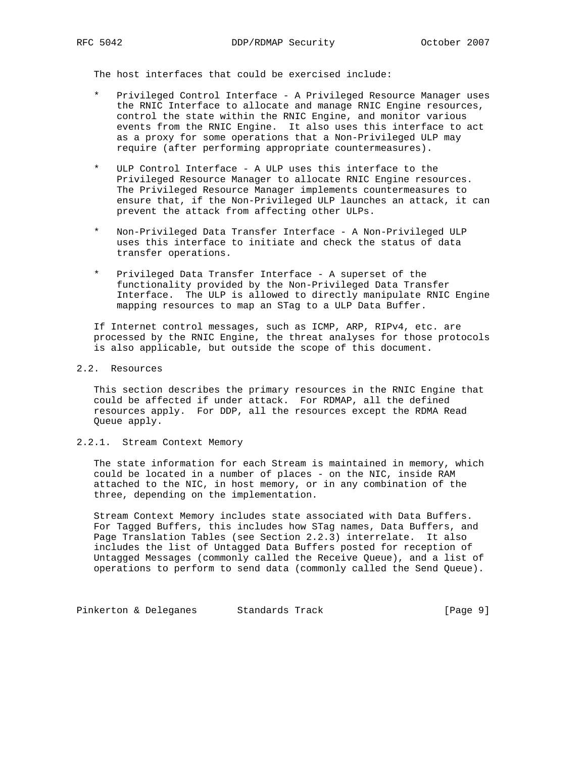The host interfaces that could be exercised include:

- Privileged Control Interface A Privileged Resource Manager uses the RNIC Interface to allocate and manage RNIC Engine resources, control the state within the RNIC Engine, and monitor various events from the RNIC Engine. It also uses this interface to act as a proxy for some operations that a Non-Privileged ULP may require (after performing appropriate countermeasures).
- ULP Control Interface A ULP uses this interface to the Privileged Resource Manager to allocate RNIC Engine resources. The Privileged Resource Manager implements countermeasures to ensure that, if the Non-Privileged ULP launches an attack, it can prevent the attack from affecting other ULPs.
- Non-Privileged Data Transfer Interface A Non-Privileged ULP uses this interface to initiate and check the status of data transfer operations.
- Privileged Data Transfer Interface A superset of the functionality provided by the Non-Privileged Data Transfer Interface. The ULP is allowed to directly manipulate RNIC Engine mapping resources to map an STag to a ULP Data Buffer.

 If Internet control messages, such as ICMP, ARP, RIPv4, etc. are processed by the RNIC Engine, the threat analyses for those protocols is also applicable, but outside the scope of this document.

## 2.2. Resources

 This section describes the primary resources in the RNIC Engine that could be affected if under attack. For RDMAP, all the defined resources apply. For DDP, all the resources except the RDMA Read Queue apply.

## 2.2.1. Stream Context Memory

 The state information for each Stream is maintained in memory, which could be located in a number of places - on the NIC, inside RAM attached to the NIC, in host memory, or in any combination of the three, depending on the implementation.

 Stream Context Memory includes state associated with Data Buffers. For Tagged Buffers, this includes how STag names, Data Buffers, and Page Translation Tables (see Section 2.2.3) interrelate. It also includes the list of Untagged Data Buffers posted for reception of Untagged Messages (commonly called the Receive Queue), and a list of operations to perform to send data (commonly called the Send Queue).

Pinkerton & Deleganes Standards Track (Page 9)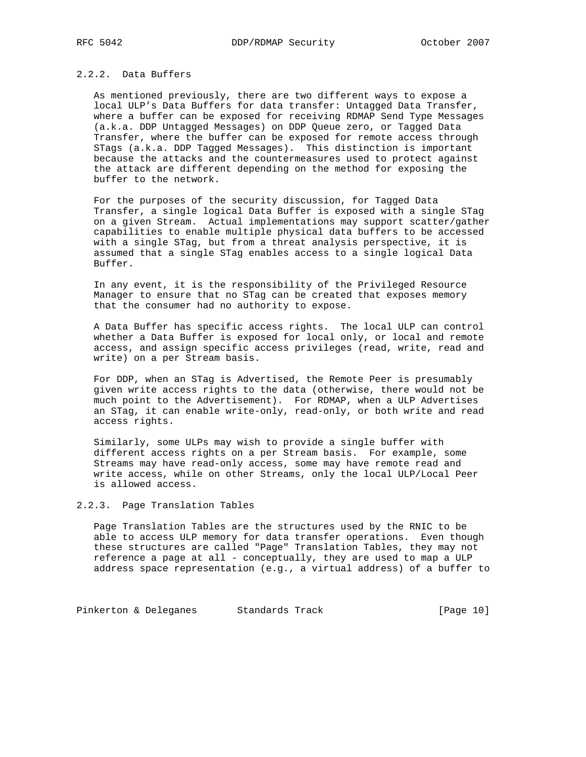## 2.2.2. Data Buffers

 As mentioned previously, there are two different ways to expose a local ULP's Data Buffers for data transfer: Untagged Data Transfer, where a buffer can be exposed for receiving RDMAP Send Type Messages (a.k.a. DDP Untagged Messages) on DDP Queue zero, or Tagged Data Transfer, where the buffer can be exposed for remote access through STags (a.k.a. DDP Tagged Messages). This distinction is important because the attacks and the countermeasures used to protect against the attack are different depending on the method for exposing the buffer to the network.

 For the purposes of the security discussion, for Tagged Data Transfer, a single logical Data Buffer is exposed with a single STag on a given Stream. Actual implementations may support scatter/gather capabilities to enable multiple physical data buffers to be accessed with a single STag, but from a threat analysis perspective, it is assumed that a single STag enables access to a single logical Data Buffer.

 In any event, it is the responsibility of the Privileged Resource Manager to ensure that no STag can be created that exposes memory that the consumer had no authority to expose.

 A Data Buffer has specific access rights. The local ULP can control whether a Data Buffer is exposed for local only, or local and remote access, and assign specific access privileges (read, write, read and write) on a per Stream basis.

 For DDP, when an STag is Advertised, the Remote Peer is presumably given write access rights to the data (otherwise, there would not be much point to the Advertisement). For RDMAP, when a ULP Advertises an STag, it can enable write-only, read-only, or both write and read access rights.

 Similarly, some ULPs may wish to provide a single buffer with different access rights on a per Stream basis. For example, some Streams may have read-only access, some may have remote read and write access, while on other Streams, only the local ULP/Local Peer is allowed access.

## 2.2.3. Page Translation Tables

 Page Translation Tables are the structures used by the RNIC to be able to access ULP memory for data transfer operations. Even though these structures are called "Page" Translation Tables, they may not reference a page at all - conceptually, they are used to map a ULP address space representation (e.g., a virtual address) of a buffer to

Pinkerton & Deleganes Standards Track [Page 10]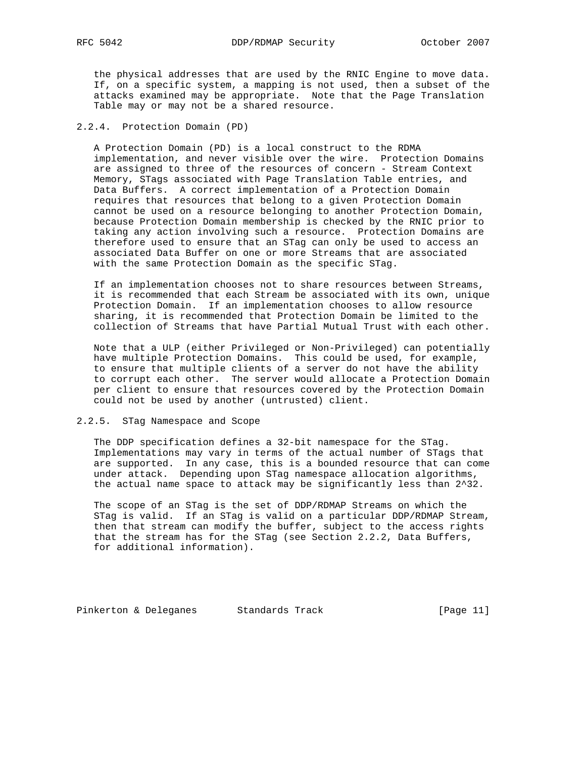the physical addresses that are used by the RNIC Engine to move data. If, on a specific system, a mapping is not used, then a subset of the attacks examined may be appropriate. Note that the Page Translation Table may or may not be a shared resource.

## 2.2.4. Protection Domain (PD)

 A Protection Domain (PD) is a local construct to the RDMA implementation, and never visible over the wire. Protection Domains are assigned to three of the resources of concern - Stream Context Memory, STags associated with Page Translation Table entries, and Data Buffers. A correct implementation of a Protection Domain requires that resources that belong to a given Protection Domain cannot be used on a resource belonging to another Protection Domain, because Protection Domain membership is checked by the RNIC prior to taking any action involving such a resource. Protection Domains are therefore used to ensure that an STag can only be used to access an associated Data Buffer on one or more Streams that are associated with the same Protection Domain as the specific STag.

 If an implementation chooses not to share resources between Streams, it is recommended that each Stream be associated with its own, unique Protection Domain. If an implementation chooses to allow resource sharing, it is recommended that Protection Domain be limited to the collection of Streams that have Partial Mutual Trust with each other.

 Note that a ULP (either Privileged or Non-Privileged) can potentially have multiple Protection Domains. This could be used, for example, to ensure that multiple clients of a server do not have the ability to corrupt each other. The server would allocate a Protection Domain per client to ensure that resources covered by the Protection Domain could not be used by another (untrusted) client.

### 2.2.5. STag Namespace and Scope

 The DDP specification defines a 32-bit namespace for the STag. Implementations may vary in terms of the actual number of STags that are supported. In any case, this is a bounded resource that can come under attack. Depending upon STag namespace allocation algorithms, the actual name space to attack may be significantly less than 2^32.

 The scope of an STag is the set of DDP/RDMAP Streams on which the STag is valid. If an STag is valid on a particular DDP/RDMAP Stream, then that stream can modify the buffer, subject to the access rights that the stream has for the STag (see Section 2.2.2, Data Buffers, for additional information).

Pinkerton & Deleganes Standards Track [Page 11]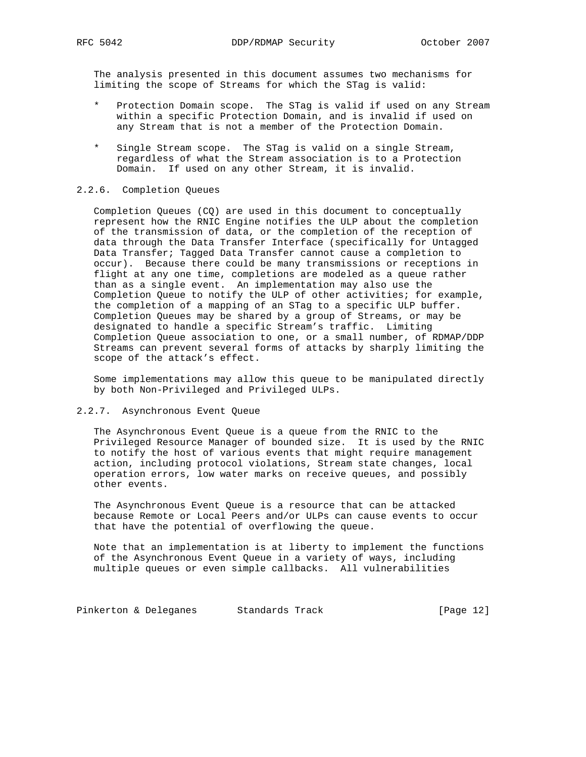The analysis presented in this document assumes two mechanisms for limiting the scope of Streams for which the STag is valid:

- Protection Domain scope. The STag is valid if used on any Stream within a specific Protection Domain, and is invalid if used on any Stream that is not a member of the Protection Domain.
- \* Single Stream scope. The STag is valid on a single Stream, regardless of what the Stream association is to a Protection Domain. If used on any other Stream, it is invalid.

### 2.2.6. Completion Queues

 Completion Queues (CQ) are used in this document to conceptually represent how the RNIC Engine notifies the ULP about the completion of the transmission of data, or the completion of the reception of data through the Data Transfer Interface (specifically for Untagged Data Transfer; Tagged Data Transfer cannot cause a completion to occur). Because there could be many transmissions or receptions in flight at any one time, completions are modeled as a queue rather than as a single event. An implementation may also use the Completion Queue to notify the ULP of other activities; for example, the completion of a mapping of an STag to a specific ULP buffer. Completion Queues may be shared by a group of Streams, or may be designated to handle a specific Stream's traffic. Limiting Completion Queue association to one, or a small number, of RDMAP/DDP Streams can prevent several forms of attacks by sharply limiting the scope of the attack's effect.

 Some implementations may allow this queue to be manipulated directly by both Non-Privileged and Privileged ULPs.

#### 2.2.7. Asynchronous Event Queue

 The Asynchronous Event Queue is a queue from the RNIC to the Privileged Resource Manager of bounded size. It is used by the RNIC to notify the host of various events that might require management action, including protocol violations, Stream state changes, local operation errors, low water marks on receive queues, and possibly other events.

 The Asynchronous Event Queue is a resource that can be attacked because Remote or Local Peers and/or ULPs can cause events to occur that have the potential of overflowing the queue.

 Note that an implementation is at liberty to implement the functions of the Asynchronous Event Queue in a variety of ways, including multiple queues or even simple callbacks. All vulnerabilities

Pinkerton & Deleganes Standards Track [Page 12]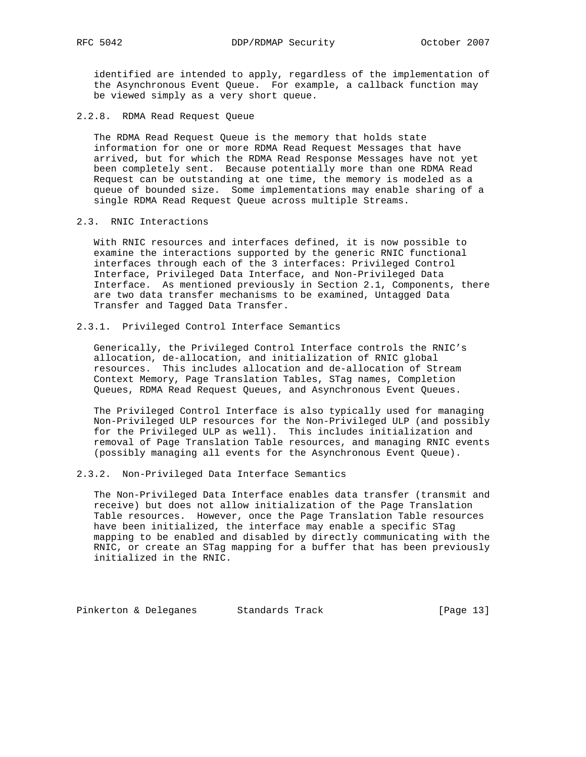identified are intended to apply, regardless of the implementation of the Asynchronous Event Queue. For example, a callback function may be viewed simply as a very short queue.

2.2.8. RDMA Read Request Queue

 The RDMA Read Request Queue is the memory that holds state information for one or more RDMA Read Request Messages that have arrived, but for which the RDMA Read Response Messages have not yet been completely sent. Because potentially more than one RDMA Read Request can be outstanding at one time, the memory is modeled as a queue of bounded size. Some implementations may enable sharing of a single RDMA Read Request Queue across multiple Streams.

2.3. RNIC Interactions

 With RNIC resources and interfaces defined, it is now possible to examine the interactions supported by the generic RNIC functional interfaces through each of the 3 interfaces: Privileged Control Interface, Privileged Data Interface, and Non-Privileged Data Interface. As mentioned previously in Section 2.1, Components, there are two data transfer mechanisms to be examined, Untagged Data Transfer and Tagged Data Transfer.

2.3.1. Privileged Control Interface Semantics

 Generically, the Privileged Control Interface controls the RNIC's allocation, de-allocation, and initialization of RNIC global resources. This includes allocation and de-allocation of Stream Context Memory, Page Translation Tables, STag names, Completion Queues, RDMA Read Request Queues, and Asynchronous Event Queues.

 The Privileged Control Interface is also typically used for managing Non-Privileged ULP resources for the Non-Privileged ULP (and possibly for the Privileged ULP as well). This includes initialization and removal of Page Translation Table resources, and managing RNIC events (possibly managing all events for the Asynchronous Event Queue).

2.3.2. Non-Privileged Data Interface Semantics

 The Non-Privileged Data Interface enables data transfer (transmit and receive) but does not allow initialization of the Page Translation Table resources. However, once the Page Translation Table resources have been initialized, the interface may enable a specific STag mapping to be enabled and disabled by directly communicating with the RNIC, or create an STag mapping for a buffer that has been previously initialized in the RNIC.

Pinkerton & Deleganes Standards Track (Page 13)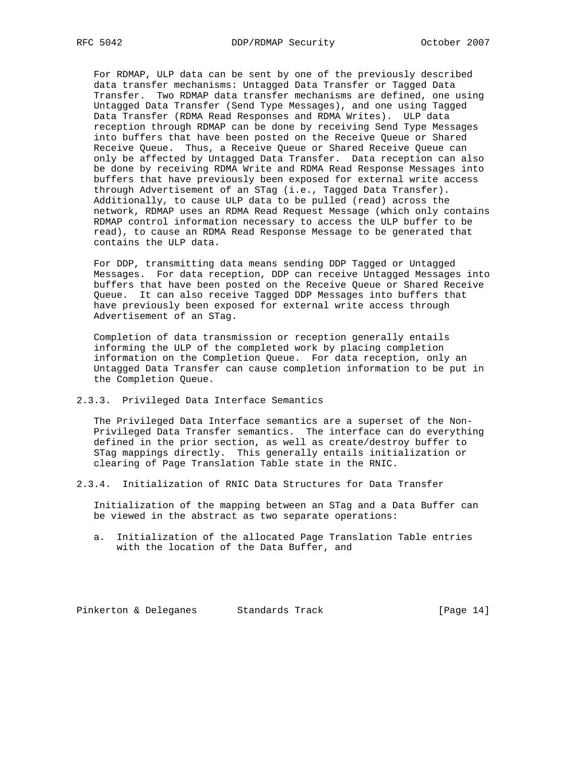For RDMAP, ULP data can be sent by one of the previously described data transfer mechanisms: Untagged Data Transfer or Tagged Data Transfer. Two RDMAP data transfer mechanisms are defined, one using Untagged Data Transfer (Send Type Messages), and one using Tagged Data Transfer (RDMA Read Responses and RDMA Writes). ULP data reception through RDMAP can be done by receiving Send Type Messages into buffers that have been posted on the Receive Queue or Shared Receive Queue. Thus, a Receive Queue or Shared Receive Queue can only be affected by Untagged Data Transfer. Data reception can also be done by receiving RDMA Write and RDMA Read Response Messages into buffers that have previously been exposed for external write access through Advertisement of an STag (i.e., Tagged Data Transfer). Additionally, to cause ULP data to be pulled (read) across the network, RDMAP uses an RDMA Read Request Message (which only contains RDMAP control information necessary to access the ULP buffer to be read), to cause an RDMA Read Response Message to be generated that contains the ULP data.

 For DDP, transmitting data means sending DDP Tagged or Untagged Messages. For data reception, DDP can receive Untagged Messages into buffers that have been posted on the Receive Queue or Shared Receive Queue. It can also receive Tagged DDP Messages into buffers that have previously been exposed for external write access through Advertisement of an STag.

 Completion of data transmission or reception generally entails informing the ULP of the completed work by placing completion information on the Completion Queue. For data reception, only an Untagged Data Transfer can cause completion information to be put in the Completion Queue.

2.3.3. Privileged Data Interface Semantics

 The Privileged Data Interface semantics are a superset of the Non- Privileged Data Transfer semantics. The interface can do everything defined in the prior section, as well as create/destroy buffer to STag mappings directly. This generally entails initialization or clearing of Page Translation Table state in the RNIC.

2.3.4. Initialization of RNIC Data Structures for Data Transfer

 Initialization of the mapping between an STag and a Data Buffer can be viewed in the abstract as two separate operations:

 a. Initialization of the allocated Page Translation Table entries with the location of the Data Buffer, and

Pinkerton & Deleganes Standards Track (Page 14)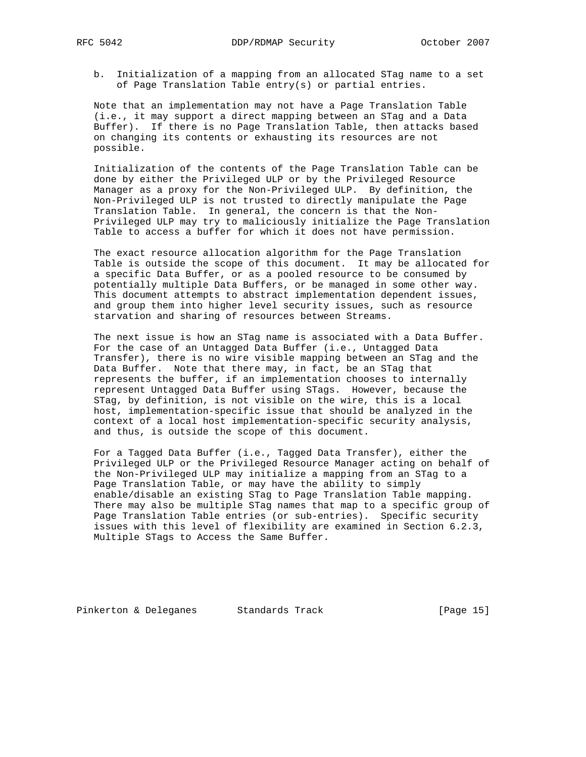b. Initialization of a mapping from an allocated STag name to a set of Page Translation Table entry(s) or partial entries.

 Note that an implementation may not have a Page Translation Table (i.e., it may support a direct mapping between an STag and a Data Buffer). If there is no Page Translation Table, then attacks based on changing its contents or exhausting its resources are not possible.

 Initialization of the contents of the Page Translation Table can be done by either the Privileged ULP or by the Privileged Resource Manager as a proxy for the Non-Privileged ULP. By definition, the Non-Privileged ULP is not trusted to directly manipulate the Page Translation Table. In general, the concern is that the Non- Privileged ULP may try to maliciously initialize the Page Translation Table to access a buffer for which it does not have permission.

 The exact resource allocation algorithm for the Page Translation Table is outside the scope of this document. It may be allocated for a specific Data Buffer, or as a pooled resource to be consumed by potentially multiple Data Buffers, or be managed in some other way. This document attempts to abstract implementation dependent issues, and group them into higher level security issues, such as resource starvation and sharing of resources between Streams.

 The next issue is how an STag name is associated with a Data Buffer. For the case of an Untagged Data Buffer (i.e., Untagged Data Transfer), there is no wire visible mapping between an STag and the Data Buffer. Note that there may, in fact, be an STag that represents the buffer, if an implementation chooses to internally represent Untagged Data Buffer using STags. However, because the STag, by definition, is not visible on the wire, this is a local host, implementation-specific issue that should be analyzed in the context of a local host implementation-specific security analysis, and thus, is outside the scope of this document.

 For a Tagged Data Buffer (i.e., Tagged Data Transfer), either the Privileged ULP or the Privileged Resource Manager acting on behalf of the Non-Privileged ULP may initialize a mapping from an STag to a Page Translation Table, or may have the ability to simply enable/disable an existing STag to Page Translation Table mapping. There may also be multiple STag names that map to a specific group of Page Translation Table entries (or sub-entries). Specific security issues with this level of flexibility are examined in Section 6.2.3, Multiple STags to Access the Same Buffer.

Pinkerton & Deleganes Standards Track (Page 15)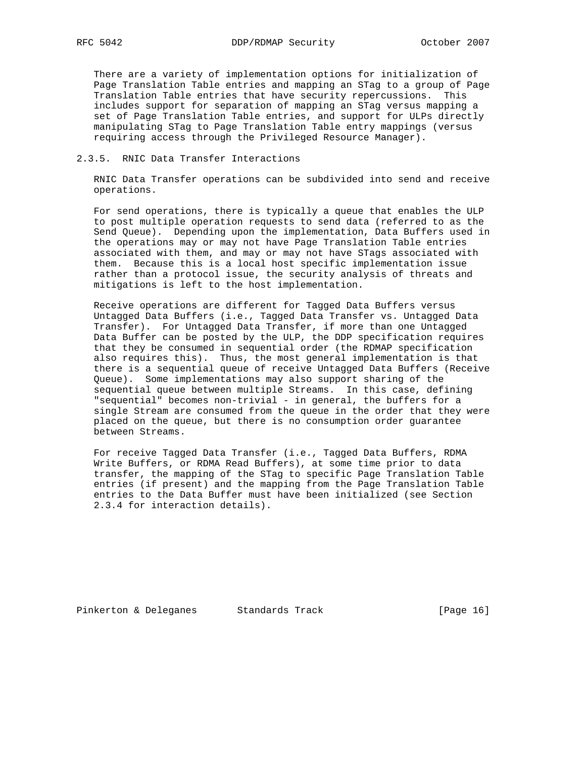There are a variety of implementation options for initialization of Page Translation Table entries and mapping an STag to a group of Page Translation Table entries that have security repercussions. This includes support for separation of mapping an STag versus mapping a set of Page Translation Table entries, and support for ULPs directly manipulating STag to Page Translation Table entry mappings (versus requiring access through the Privileged Resource Manager).

## 2.3.5. RNIC Data Transfer Interactions

 RNIC Data Transfer operations can be subdivided into send and receive operations.

 For send operations, there is typically a queue that enables the ULP to post multiple operation requests to send data (referred to as the Send Queue). Depending upon the implementation, Data Buffers used in the operations may or may not have Page Translation Table entries associated with them, and may or may not have STags associated with them. Because this is a local host specific implementation issue rather than a protocol issue, the security analysis of threats and mitigations is left to the host implementation.

 Receive operations are different for Tagged Data Buffers versus Untagged Data Buffers (i.e., Tagged Data Transfer vs. Untagged Data Transfer). For Untagged Data Transfer, if more than one Untagged Data Buffer can be posted by the ULP, the DDP specification requires that they be consumed in sequential order (the RDMAP specification also requires this). Thus, the most general implementation is that there is a sequential queue of receive Untagged Data Buffers (Receive Queue). Some implementations may also support sharing of the sequential queue between multiple Streams. In this case, defining "sequential" becomes non-trivial - in general, the buffers for a single Stream are consumed from the queue in the order that they were placed on the queue, but there is no consumption order guarantee between Streams.

 For receive Tagged Data Transfer (i.e., Tagged Data Buffers, RDMA Write Buffers, or RDMA Read Buffers), at some time prior to data transfer, the mapping of the STag to specific Page Translation Table entries (if present) and the mapping from the Page Translation Table entries to the Data Buffer must have been initialized (see Section 2.3.4 for interaction details).

Pinkerton & Deleganes Standards Track (Page 16)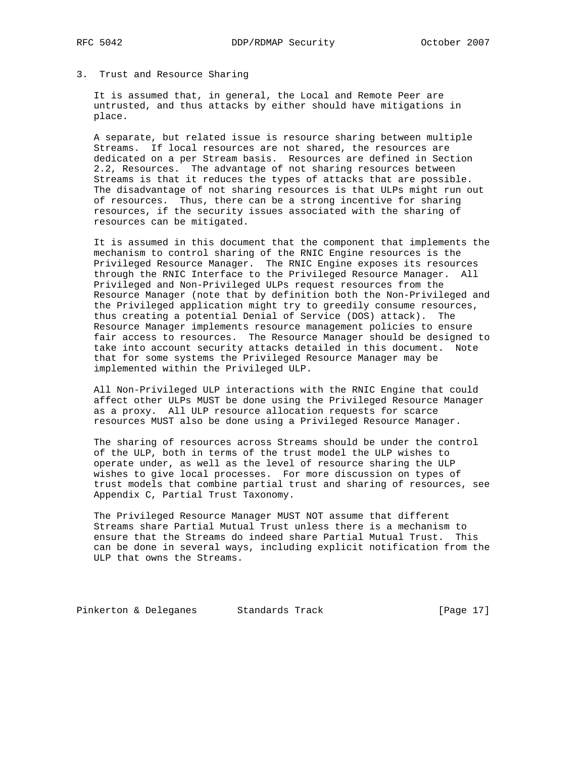3. Trust and Resource Sharing

 It is assumed that, in general, the Local and Remote Peer are untrusted, and thus attacks by either should have mitigations in place.

 A separate, but related issue is resource sharing between multiple Streams. If local resources are not shared, the resources are dedicated on a per Stream basis. Resources are defined in Section 2.2, Resources. The advantage of not sharing resources between Streams is that it reduces the types of attacks that are possible. The disadvantage of not sharing resources is that ULPs might run out of resources. Thus, there can be a strong incentive for sharing resources, if the security issues associated with the sharing of resources can be mitigated.

 It is assumed in this document that the component that implements the mechanism to control sharing of the RNIC Engine resources is the Privileged Resource Manager. The RNIC Engine exposes its resources through the RNIC Interface to the Privileged Resource Manager. All Privileged and Non-Privileged ULPs request resources from the Resource Manager (note that by definition both the Non-Privileged and the Privileged application might try to greedily consume resources, thus creating a potential Denial of Service (DOS) attack). The Resource Manager implements resource management policies to ensure fair access to resources. The Resource Manager should be designed to take into account security attacks detailed in this document. Note that for some systems the Privileged Resource Manager may be implemented within the Privileged ULP.

 All Non-Privileged ULP interactions with the RNIC Engine that could affect other ULPs MUST be done using the Privileged Resource Manager as a proxy. All ULP resource allocation requests for scarce resources MUST also be done using a Privileged Resource Manager.

 The sharing of resources across Streams should be under the control of the ULP, both in terms of the trust model the ULP wishes to operate under, as well as the level of resource sharing the ULP wishes to give local processes. For more discussion on types of trust models that combine partial trust and sharing of resources, see Appendix C, Partial Trust Taxonomy.

 The Privileged Resource Manager MUST NOT assume that different Streams share Partial Mutual Trust unless there is a mechanism to ensure that the Streams do indeed share Partial Mutual Trust. This can be done in several ways, including explicit notification from the ULP that owns the Streams.

Pinkerton & Deleganes Standards Track (Page 17)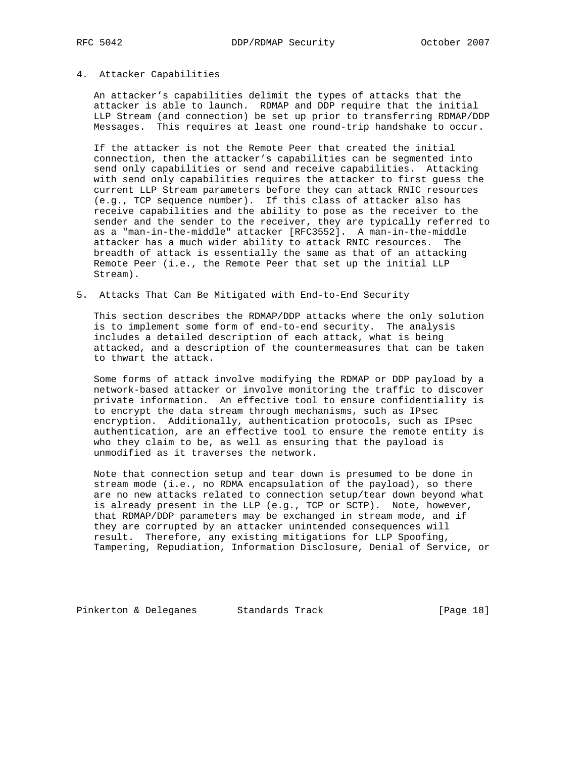### 4. Attacker Capabilities

 An attacker's capabilities delimit the types of attacks that the attacker is able to launch. RDMAP and DDP require that the initial LLP Stream (and connection) be set up prior to transferring RDMAP/DDP Messages. This requires at least one round-trip handshake to occur.

 If the attacker is not the Remote Peer that created the initial connection, then the attacker's capabilities can be segmented into send only capabilities or send and receive capabilities. Attacking with send only capabilities requires the attacker to first guess the current LLP Stream parameters before they can attack RNIC resources (e.g., TCP sequence number). If this class of attacker also has receive capabilities and the ability to pose as the receiver to the sender and the sender to the receiver, they are typically referred to as a "man-in-the-middle" attacker [RFC3552]. A man-in-the-middle attacker has a much wider ability to attack RNIC resources. The breadth of attack is essentially the same as that of an attacking Remote Peer (i.e., the Remote Peer that set up the initial LLP Stream).

5. Attacks That Can Be Mitigated with End-to-End Security

 This section describes the RDMAP/DDP attacks where the only solution is to implement some form of end-to-end security. The analysis includes a detailed description of each attack, what is being attacked, and a description of the countermeasures that can be taken to thwart the attack.

 Some forms of attack involve modifying the RDMAP or DDP payload by a network-based attacker or involve monitoring the traffic to discover private information. An effective tool to ensure confidentiality is to encrypt the data stream through mechanisms, such as IPsec encryption. Additionally, authentication protocols, such as IPsec authentication, are an effective tool to ensure the remote entity is who they claim to be, as well as ensuring that the payload is unmodified as it traverses the network.

 Note that connection setup and tear down is presumed to be done in stream mode (i.e., no RDMA encapsulation of the payload), so there are no new attacks related to connection setup/tear down beyond what is already present in the LLP (e.g., TCP or SCTP). Note, however, that RDMAP/DDP parameters may be exchanged in stream mode, and if they are corrupted by an attacker unintended consequences will result. Therefore, any existing mitigations for LLP Spoofing, Tampering, Repudiation, Information Disclosure, Denial of Service, or

Pinkerton & Deleganes Standards Track (Page 18)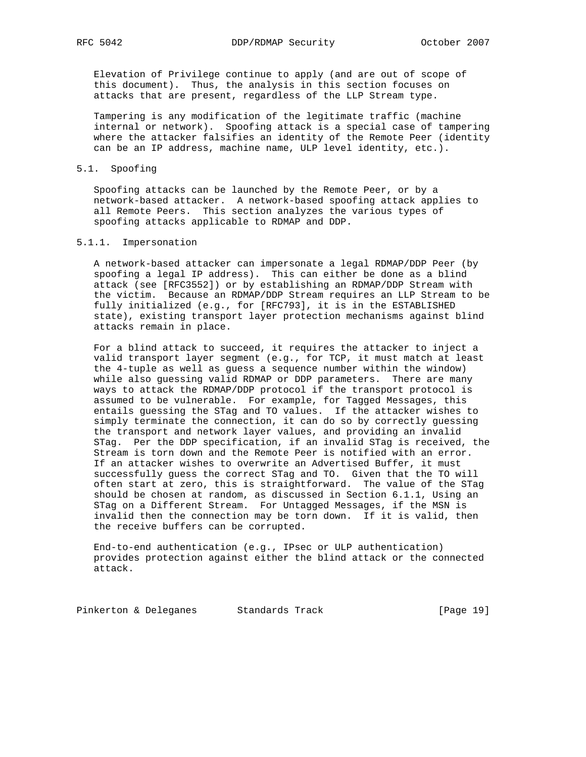Elevation of Privilege continue to apply (and are out of scope of this document). Thus, the analysis in this section focuses on attacks that are present, regardless of the LLP Stream type.

 Tampering is any modification of the legitimate traffic (machine internal or network). Spoofing attack is a special case of tampering where the attacker falsifies an identity of the Remote Peer (identity can be an IP address, machine name, ULP level identity, etc.).

#### 5.1. Spoofing

 Spoofing attacks can be launched by the Remote Peer, or by a network-based attacker. A network-based spoofing attack applies to all Remote Peers. This section analyzes the various types of spoofing attacks applicable to RDMAP and DDP.

### 5.1.1. Impersonation

 A network-based attacker can impersonate a legal RDMAP/DDP Peer (by spoofing a legal IP address). This can either be done as a blind attack (see [RFC3552]) or by establishing an RDMAP/DDP Stream with the victim. Because an RDMAP/DDP Stream requires an LLP Stream to be fully initialized (e.g., for [RFC793], it is in the ESTABLISHED state), existing transport layer protection mechanisms against blind attacks remain in place.

 For a blind attack to succeed, it requires the attacker to inject a valid transport layer segment (e.g., for TCP, it must match at least the 4-tuple as well as guess a sequence number within the window) while also guessing valid RDMAP or DDP parameters. There are many ways to attack the RDMAP/DDP protocol if the transport protocol is assumed to be vulnerable. For example, for Tagged Messages, this entails guessing the STag and TO values. If the attacker wishes to simply terminate the connection, it can do so by correctly guessing the transport and network layer values, and providing an invalid STag. Per the DDP specification, if an invalid STag is received, the Stream is torn down and the Remote Peer is notified with an error. If an attacker wishes to overwrite an Advertised Buffer, it must successfully guess the correct STag and TO. Given that the TO will often start at zero, this is straightforward. The value of the STag should be chosen at random, as discussed in Section 6.1.1, Using an STag on a Different Stream. For Untagged Messages, if the MSN is invalid then the connection may be torn down. If it is valid, then the receive buffers can be corrupted.

 End-to-end authentication (e.g., IPsec or ULP authentication) provides protection against either the blind attack or the connected attack.

Pinkerton & Deleganes Standards Track (Page 19)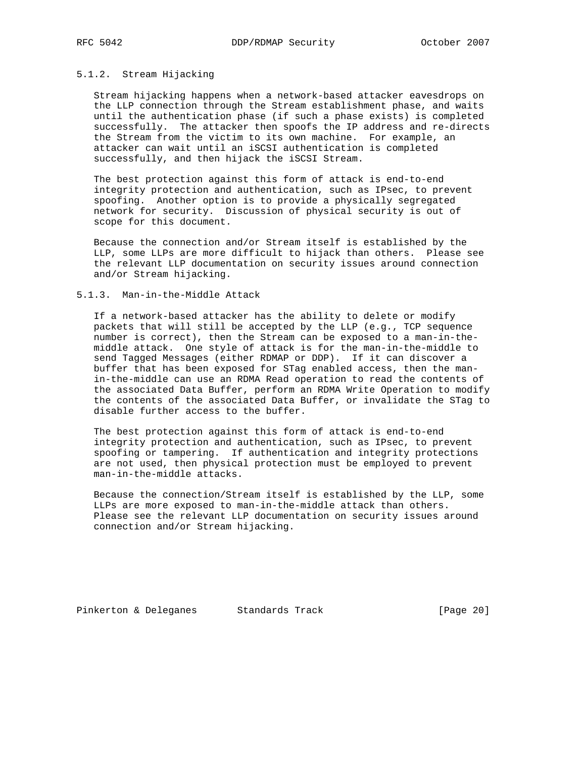### 5.1.2. Stream Hijacking

 Stream hijacking happens when a network-based attacker eavesdrops on the LLP connection through the Stream establishment phase, and waits until the authentication phase (if such a phase exists) is completed successfully. The attacker then spoofs the IP address and re-directs the Stream from the victim to its own machine. For example, an attacker can wait until an iSCSI authentication is completed successfully, and then hijack the iSCSI Stream.

 The best protection against this form of attack is end-to-end integrity protection and authentication, such as IPsec, to prevent spoofing. Another option is to provide a physically segregated network for security. Discussion of physical security is out of scope for this document.

 Because the connection and/or Stream itself is established by the LLP, some LLPs are more difficult to hijack than others. Please see the relevant LLP documentation on security issues around connection and/or Stream hijacking.

### 5.1.3. Man-in-the-Middle Attack

 If a network-based attacker has the ability to delete or modify packets that will still be accepted by the LLP (e.g., TCP sequence number is correct), then the Stream can be exposed to a man-in-the middle attack. One style of attack is for the man-in-the-middle to send Tagged Messages (either RDMAP or DDP). If it can discover a buffer that has been exposed for STag enabled access, then the man in-the-middle can use an RDMA Read operation to read the contents of the associated Data Buffer, perform an RDMA Write Operation to modify the contents of the associated Data Buffer, or invalidate the STag to disable further access to the buffer.

 The best protection against this form of attack is end-to-end integrity protection and authentication, such as IPsec, to prevent spoofing or tampering. If authentication and integrity protections are not used, then physical protection must be employed to prevent man-in-the-middle attacks.

 Because the connection/Stream itself is established by the LLP, some LLPs are more exposed to man-in-the-middle attack than others. Please see the relevant LLP documentation on security issues around connection and/or Stream hijacking.

Pinkerton & Deleganes Standards Track (Page 20)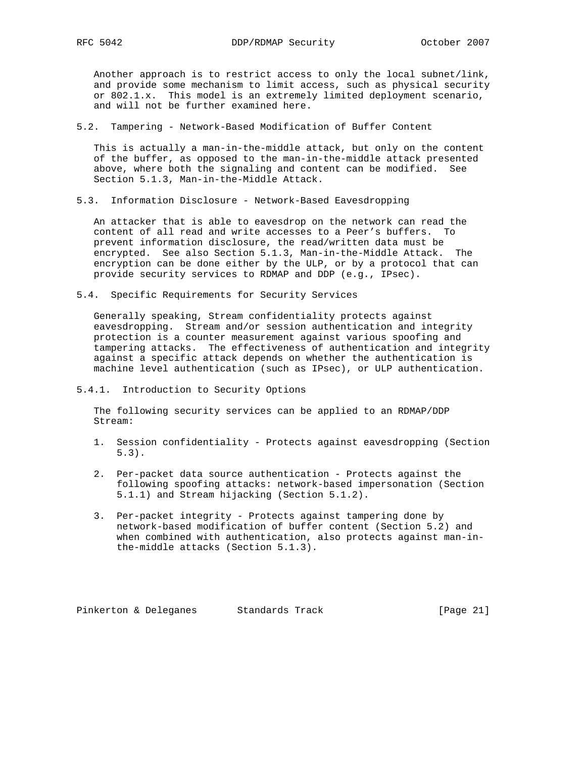Another approach is to restrict access to only the local subnet/link, and provide some mechanism to limit access, such as physical security or 802.1.x. This model is an extremely limited deployment scenario, and will not be further examined here.

5.2. Tampering - Network-Based Modification of Buffer Content

 This is actually a man-in-the-middle attack, but only on the content of the buffer, as opposed to the man-in-the-middle attack presented above, where both the signaling and content can be modified. See Section 5.1.3, Man-in-the-Middle Attack.

5.3. Information Disclosure - Network-Based Eavesdropping

 An attacker that is able to eavesdrop on the network can read the content of all read and write accesses to a Peer's buffers. To prevent information disclosure, the read/written data must be encrypted. See also Section 5.1.3, Man-in-the-Middle Attack. The encryption can be done either by the ULP, or by a protocol that can provide security services to RDMAP and DDP (e.g., IPsec).

5.4. Specific Requirements for Security Services

 Generally speaking, Stream confidentiality protects against eavesdropping. Stream and/or session authentication and integrity protection is a counter measurement against various spoofing and tampering attacks. The effectiveness of authentication and integrity against a specific attack depends on whether the authentication is machine level authentication (such as IPsec), or ULP authentication.

5.4.1. Introduction to Security Options

 The following security services can be applied to an RDMAP/DDP Stream:

- 1. Session confidentiality Protects against eavesdropping (Section 5.3).
- 2. Per-packet data source authentication Protects against the following spoofing attacks: network-based impersonation (Section 5.1.1) and Stream hijacking (Section 5.1.2).
- 3. Per-packet integrity Protects against tampering done by network-based modification of buffer content (Section 5.2) and when combined with authentication, also protects against man-in the-middle attacks (Section 5.1.3).

Pinkerton & Deleganes Standards Track [Page 21]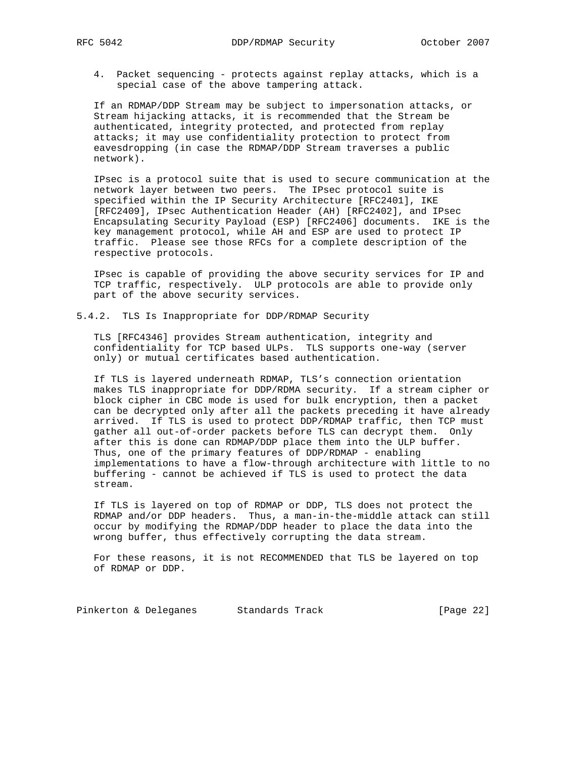4. Packet sequencing - protects against replay attacks, which is a special case of the above tampering attack.

 If an RDMAP/DDP Stream may be subject to impersonation attacks, or Stream hijacking attacks, it is recommended that the Stream be authenticated, integrity protected, and protected from replay attacks; it may use confidentiality protection to protect from eavesdropping (in case the RDMAP/DDP Stream traverses a public network).

 IPsec is a protocol suite that is used to secure communication at the network layer between two peers. The IPsec protocol suite is specified within the IP Security Architecture [RFC2401], IKE [RFC2409], IPsec Authentication Header (AH) [RFC2402], and IPsec Encapsulating Security Payload (ESP) [RFC2406] documents. IKE is the key management protocol, while AH and ESP are used to protect IP traffic. Please see those RFCs for a complete description of the respective protocols.

 IPsec is capable of providing the above security services for IP and TCP traffic, respectively. ULP protocols are able to provide only part of the above security services.

5.4.2. TLS Is Inappropriate for DDP/RDMAP Security

 TLS [RFC4346] provides Stream authentication, integrity and confidentiality for TCP based ULPs. TLS supports one-way (server only) or mutual certificates based authentication.

 If TLS is layered underneath RDMAP, TLS's connection orientation makes TLS inappropriate for DDP/RDMA security. If a stream cipher or block cipher in CBC mode is used for bulk encryption, then a packet can be decrypted only after all the packets preceding it have already arrived. If TLS is used to protect DDP/RDMAP traffic, then TCP must gather all out-of-order packets before TLS can decrypt them. Only after this is done can RDMAP/DDP place them into the ULP buffer. Thus, one of the primary features of DDP/RDMAP - enabling implementations to have a flow-through architecture with little to no buffering - cannot be achieved if TLS is used to protect the data stream.

 If TLS is layered on top of RDMAP or DDP, TLS does not protect the RDMAP and/or DDP headers. Thus, a man-in-the-middle attack can still occur by modifying the RDMAP/DDP header to place the data into the wrong buffer, thus effectively corrupting the data stream.

 For these reasons, it is not RECOMMENDED that TLS be layered on top of RDMAP or DDP.

Pinkerton & Deleganes Standards Track (Page 22)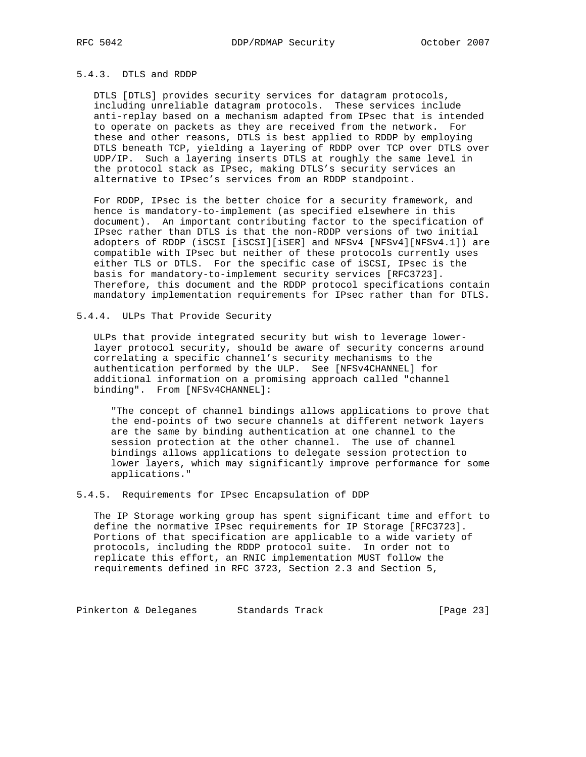## 5.4.3. DTLS and RDDP

 DTLS [DTLS] provides security services for datagram protocols, including unreliable datagram protocols. These services include anti-replay based on a mechanism adapted from IPsec that is intended to operate on packets as they are received from the network. For these and other reasons, DTLS is best applied to RDDP by employing DTLS beneath TCP, yielding a layering of RDDP over TCP over DTLS over UDP/IP. Such a layering inserts DTLS at roughly the same level in the protocol stack as IPsec, making DTLS's security services an alternative to IPsec's services from an RDDP standpoint.

 For RDDP, IPsec is the better choice for a security framework, and hence is mandatory-to-implement (as specified elsewhere in this document). An important contributing factor to the specification of IPsec rather than DTLS is that the non-RDDP versions of two initial adopters of RDDP (iSCSI [iSCSI][iSER] and NFSv4 [NFSv4][NFSv4.1]) are compatible with IPsec but neither of these protocols currently uses either TLS or DTLS. For the specific case of iSCSI, IPsec is the basis for mandatory-to-implement security services [RFC3723]. Therefore, this document and the RDDP protocol specifications contain mandatory implementation requirements for IPsec rather than for DTLS.

### 5.4.4. ULPs That Provide Security

 ULPs that provide integrated security but wish to leverage lower layer protocol security, should be aware of security concerns around correlating a specific channel's security mechanisms to the authentication performed by the ULP. See [NFSv4CHANNEL] for additional information on a promising approach called "channel binding". From [NFSv4CHANNEL]:

 "The concept of channel bindings allows applications to prove that the end-points of two secure channels at different network layers are the same by binding authentication at one channel to the session protection at the other channel. The use of channel bindings allows applications to delegate session protection to lower layers, which may significantly improve performance for some applications."

5.4.5. Requirements for IPsec Encapsulation of DDP

 The IP Storage working group has spent significant time and effort to define the normative IPsec requirements for IP Storage [RFC3723]. Portions of that specification are applicable to a wide variety of protocols, including the RDDP protocol suite. In order not to replicate this effort, an RNIC implementation MUST follow the requirements defined in RFC 3723, Section 2.3 and Section 5,

Pinkerton & Deleganes Standards Track (Page 23)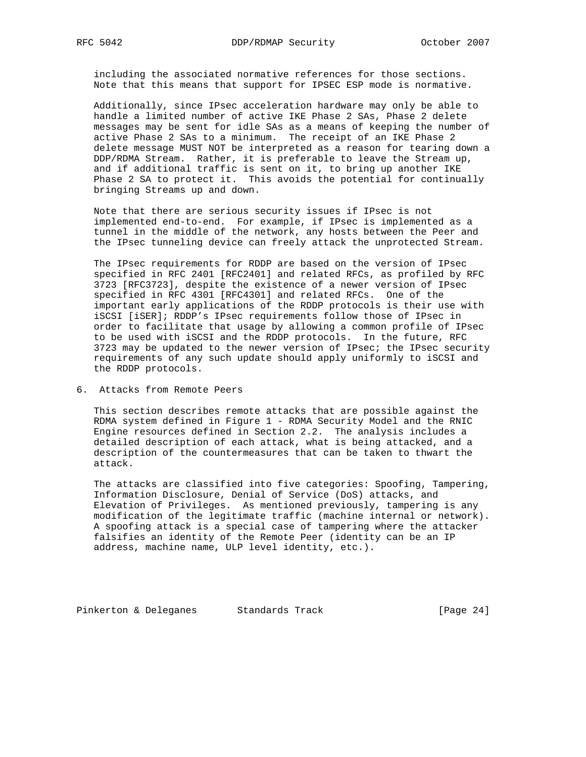including the associated normative references for those sections. Note that this means that support for IPSEC ESP mode is normative.

 Additionally, since IPsec acceleration hardware may only be able to handle a limited number of active IKE Phase 2 SAs, Phase 2 delete messages may be sent for idle SAs as a means of keeping the number of active Phase 2 SAs to a minimum. The receipt of an IKE Phase 2 delete message MUST NOT be interpreted as a reason for tearing down a DDP/RDMA Stream. Rather, it is preferable to leave the Stream up, and if additional traffic is sent on it, to bring up another IKE Phase 2 SA to protect it. This avoids the potential for continually bringing Streams up and down.

 Note that there are serious security issues if IPsec is not implemented end-to-end. For example, if IPsec is implemented as a tunnel in the middle of the network, any hosts between the Peer and the IPsec tunneling device can freely attack the unprotected Stream.

 The IPsec requirements for RDDP are based on the version of IPsec specified in RFC 2401 [RFC2401] and related RFCs, as profiled by RFC 3723 [RFC3723], despite the existence of a newer version of IPsec specified in RFC 4301 [RFC4301] and related RFCs. One of the important early applications of the RDDP protocols is their use with iSCSI [iSER]; RDDP's IPsec requirements follow those of IPsec in order to facilitate that usage by allowing a common profile of IPsec to be used with iSCSI and the RDDP protocols. In the future, RFC 3723 may be updated to the newer version of IPsec; the IPsec security requirements of any such update should apply uniformly to iSCSI and the RDDP protocols.

6. Attacks from Remote Peers

 This section describes remote attacks that are possible against the RDMA system defined in Figure 1 - RDMA Security Model and the RNIC Engine resources defined in Section 2.2. The analysis includes a detailed description of each attack, what is being attacked, and a description of the countermeasures that can be taken to thwart the attack.

 The attacks are classified into five categories: Spoofing, Tampering, Information Disclosure, Denial of Service (DoS) attacks, and Elevation of Privileges. As mentioned previously, tampering is any modification of the legitimate traffic (machine internal or network). A spoofing attack is a special case of tampering where the attacker falsifies an identity of the Remote Peer (identity can be an IP address, machine name, ULP level identity, etc.).

Pinkerton & Deleganes Standards Track (Page 24)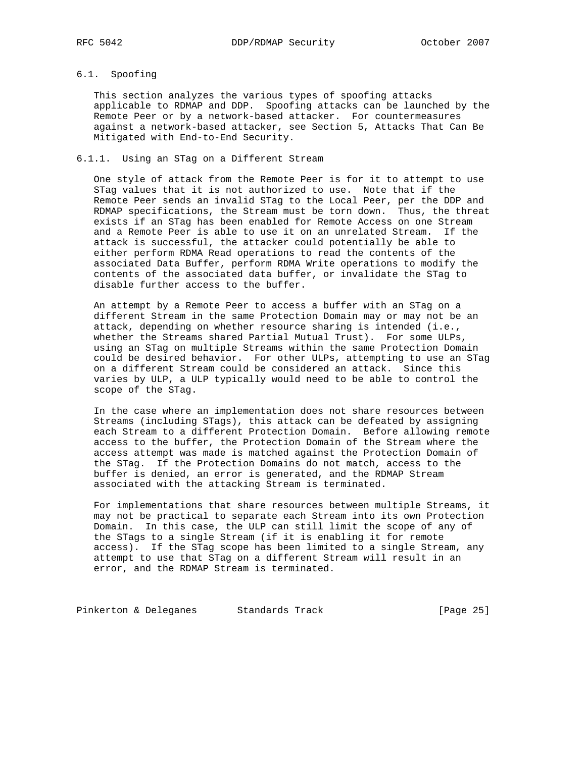# 6.1. Spoofing

 This section analyzes the various types of spoofing attacks applicable to RDMAP and DDP. Spoofing attacks can be launched by the Remote Peer or by a network-based attacker. For countermeasures against a network-based attacker, see Section 5, Attacks That Can Be Mitigated with End-to-End Security.

## 6.1.1. Using an STag on a Different Stream

 One style of attack from the Remote Peer is for it to attempt to use STag values that it is not authorized to use. Note that if the Remote Peer sends an invalid STag to the Local Peer, per the DDP and RDMAP specifications, the Stream must be torn down. Thus, the threat exists if an STag has been enabled for Remote Access on one Stream and a Remote Peer is able to use it on an unrelated Stream. If the attack is successful, the attacker could potentially be able to either perform RDMA Read operations to read the contents of the associated Data Buffer, perform RDMA Write operations to modify the contents of the associated data buffer, or invalidate the STag to disable further access to the buffer.

 An attempt by a Remote Peer to access a buffer with an STag on a different Stream in the same Protection Domain may or may not be an attack, depending on whether resource sharing is intended (i.e., whether the Streams shared Partial Mutual Trust). For some ULPs, using an STag on multiple Streams within the same Protection Domain could be desired behavior. For other ULPs, attempting to use an STag on a different Stream could be considered an attack. Since this varies by ULP, a ULP typically would need to be able to control the scope of the STag.

 In the case where an implementation does not share resources between Streams (including STags), this attack can be defeated by assigning each Stream to a different Protection Domain. Before allowing remote access to the buffer, the Protection Domain of the Stream where the access attempt was made is matched against the Protection Domain of the STag. If the Protection Domains do not match, access to the buffer is denied, an error is generated, and the RDMAP Stream associated with the attacking Stream is terminated.

 For implementations that share resources between multiple Streams, it may not be practical to separate each Stream into its own Protection Domain. In this case, the ULP can still limit the scope of any of the STags to a single Stream (if it is enabling it for remote access). If the STag scope has been limited to a single Stream, any attempt to use that STag on a different Stream will result in an error, and the RDMAP Stream is terminated.

Pinkerton & Deleganes Standards Track (Page 25)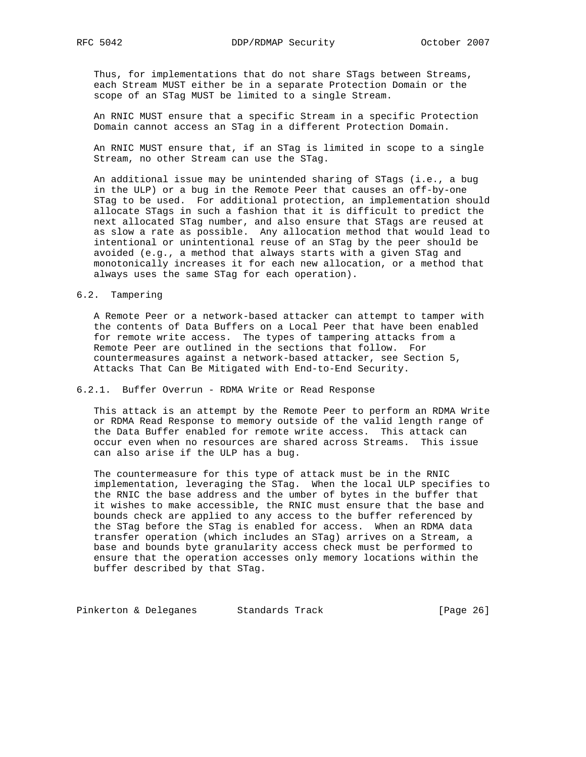Thus, for implementations that do not share STags between Streams, each Stream MUST either be in a separate Protection Domain or the scope of an STag MUST be limited to a single Stream.

 An RNIC MUST ensure that a specific Stream in a specific Protection Domain cannot access an STag in a different Protection Domain.

 An RNIC MUST ensure that, if an STag is limited in scope to a single Stream, no other Stream can use the STag.

 An additional issue may be unintended sharing of STags (i.e., a bug in the ULP) or a bug in the Remote Peer that causes an off-by-one STag to be used. For additional protection, an implementation should allocate STags in such a fashion that it is difficult to predict the next allocated STag number, and also ensure that STags are reused at as slow a rate as possible. Any allocation method that would lead to intentional or unintentional reuse of an STag by the peer should be avoided (e.g., a method that always starts with a given STag and monotonically increases it for each new allocation, or a method that always uses the same STag for each operation).

### 6.2. Tampering

 A Remote Peer or a network-based attacker can attempt to tamper with the contents of Data Buffers on a Local Peer that have been enabled for remote write access. The types of tampering attacks from a Remote Peer are outlined in the sections that follow. For countermeasures against a network-based attacker, see Section 5, Attacks That Can Be Mitigated with End-to-End Security.

### 6.2.1. Buffer Overrun - RDMA Write or Read Response

 This attack is an attempt by the Remote Peer to perform an RDMA Write or RDMA Read Response to memory outside of the valid length range of the Data Buffer enabled for remote write access. This attack can occur even when no resources are shared across Streams. This issue can also arise if the ULP has a bug.

 The countermeasure for this type of attack must be in the RNIC implementation, leveraging the STag. When the local ULP specifies to the RNIC the base address and the umber of bytes in the buffer that it wishes to make accessible, the RNIC must ensure that the base and bounds check are applied to any access to the buffer referenced by the STag before the STag is enabled for access. When an RDMA data transfer operation (which includes an STag) arrives on a Stream, a base and bounds byte granularity access check must be performed to ensure that the operation accesses only memory locations within the buffer described by that STag.

Pinkerton & Deleganes Standards Track (Page 26)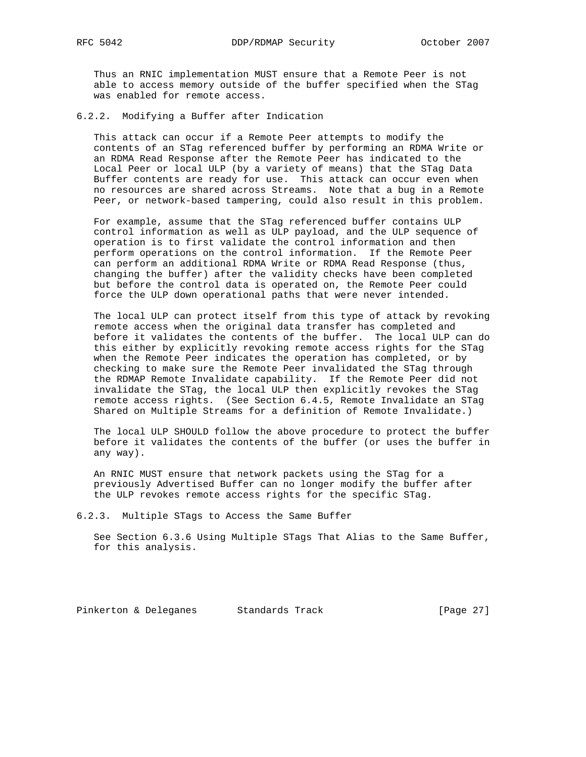Thus an RNIC implementation MUST ensure that a Remote Peer is not able to access memory outside of the buffer specified when the STag was enabled for remote access.

6.2.2. Modifying a Buffer after Indication

 This attack can occur if a Remote Peer attempts to modify the contents of an STag referenced buffer by performing an RDMA Write or an RDMA Read Response after the Remote Peer has indicated to the Local Peer or local ULP (by a variety of means) that the STag Data Buffer contents are ready for use. This attack can occur even when no resources are shared across Streams. Note that a bug in a Remote Peer, or network-based tampering, could also result in this problem.

 For example, assume that the STag referenced buffer contains ULP control information as well as ULP payload, and the ULP sequence of operation is to first validate the control information and then perform operations on the control information. If the Remote Peer can perform an additional RDMA Write or RDMA Read Response (thus, changing the buffer) after the validity checks have been completed but before the control data is operated on, the Remote Peer could force the ULP down operational paths that were never intended.

 The local ULP can protect itself from this type of attack by revoking remote access when the original data transfer has completed and before it validates the contents of the buffer. The local ULP can do this either by explicitly revoking remote access rights for the STag when the Remote Peer indicates the operation has completed, or by checking to make sure the Remote Peer invalidated the STag through the RDMAP Remote Invalidate capability. If the Remote Peer did not invalidate the STag, the local ULP then explicitly revokes the STag remote access rights. (See Section 6.4.5, Remote Invalidate an STag Shared on Multiple Streams for a definition of Remote Invalidate.)

 The local ULP SHOULD follow the above procedure to protect the buffer before it validates the contents of the buffer (or uses the buffer in any way).

 An RNIC MUST ensure that network packets using the STag for a previously Advertised Buffer can no longer modify the buffer after the ULP revokes remote access rights for the specific STag.

6.2.3. Multiple STags to Access the Same Buffer

 See Section 6.3.6 Using Multiple STags That Alias to the Same Buffer, for this analysis.

Pinkerton & Deleganes Standards Track [Page 27]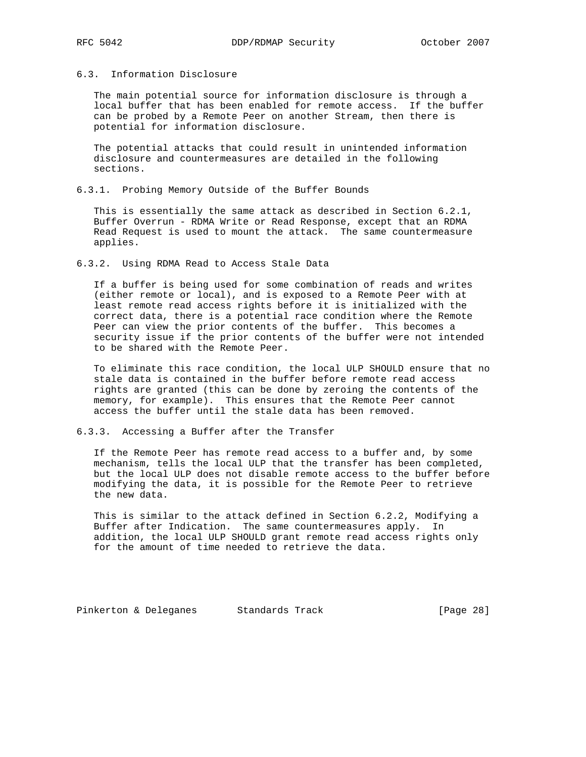## 6.3. Information Disclosure

 The main potential source for information disclosure is through a local buffer that has been enabled for remote access. If the buffer can be probed by a Remote Peer on another Stream, then there is potential for information disclosure.

 The potential attacks that could result in unintended information disclosure and countermeasures are detailed in the following sections.

6.3.1. Probing Memory Outside of the Buffer Bounds

 This is essentially the same attack as described in Section 6.2.1, Buffer Overrun - RDMA Write or Read Response, except that an RDMA Read Request is used to mount the attack. The same countermeasure applies.

6.3.2. Using RDMA Read to Access Stale Data

 If a buffer is being used for some combination of reads and writes (either remote or local), and is exposed to a Remote Peer with at least remote read access rights before it is initialized with the correct data, there is a potential race condition where the Remote Peer can view the prior contents of the buffer. This becomes a security issue if the prior contents of the buffer were not intended to be shared with the Remote Peer.

 To eliminate this race condition, the local ULP SHOULD ensure that no stale data is contained in the buffer before remote read access rights are granted (this can be done by zeroing the contents of the memory, for example). This ensures that the Remote Peer cannot access the buffer until the stale data has been removed.

6.3.3. Accessing a Buffer after the Transfer

 If the Remote Peer has remote read access to a buffer and, by some mechanism, tells the local ULP that the transfer has been completed, but the local ULP does not disable remote access to the buffer before modifying the data, it is possible for the Remote Peer to retrieve the new data.

 This is similar to the attack defined in Section 6.2.2, Modifying a Buffer after Indication. The same countermeasures apply. In addition, the local ULP SHOULD grant remote read access rights only for the amount of time needed to retrieve the data.

Pinkerton & Deleganes Standards Track [Page 28]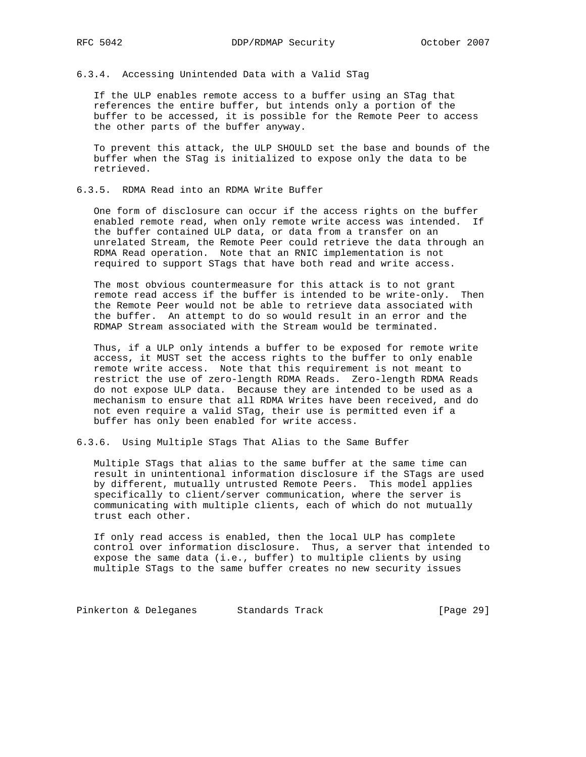# 6.3.4. Accessing Unintended Data with a Valid STag

 If the ULP enables remote access to a buffer using an STag that references the entire buffer, but intends only a portion of the buffer to be accessed, it is possible for the Remote Peer to access the other parts of the buffer anyway.

 To prevent this attack, the ULP SHOULD set the base and bounds of the buffer when the STag is initialized to expose only the data to be retrieved.

#### 6.3.5. RDMA Read into an RDMA Write Buffer

 One form of disclosure can occur if the access rights on the buffer enabled remote read, when only remote write access was intended. If the buffer contained ULP data, or data from a transfer on an unrelated Stream, the Remote Peer could retrieve the data through an RDMA Read operation. Note that an RNIC implementation is not required to support STags that have both read and write access.

 The most obvious countermeasure for this attack is to not grant remote read access if the buffer is intended to be write-only. Then the Remote Peer would not be able to retrieve data associated with the buffer. An attempt to do so would result in an error and the RDMAP Stream associated with the Stream would be terminated.

 Thus, if a ULP only intends a buffer to be exposed for remote write access, it MUST set the access rights to the buffer to only enable remote write access. Note that this requirement is not meant to restrict the use of zero-length RDMA Reads. Zero-length RDMA Reads do not expose ULP data. Because they are intended to be used as a mechanism to ensure that all RDMA Writes have been received, and do not even require a valid STag, their use is permitted even if a buffer has only been enabled for write access.

6.3.6. Using Multiple STags That Alias to the Same Buffer

 Multiple STags that alias to the same buffer at the same time can result in unintentional information disclosure if the STags are used by different, mutually untrusted Remote Peers. This model applies specifically to client/server communication, where the server is communicating with multiple clients, each of which do not mutually trust each other.

 If only read access is enabled, then the local ULP has complete control over information disclosure. Thus, a server that intended to expose the same data (i.e., buffer) to multiple clients by using multiple STags to the same buffer creates no new security issues

Pinkerton & Deleganes Standards Track (Page 29)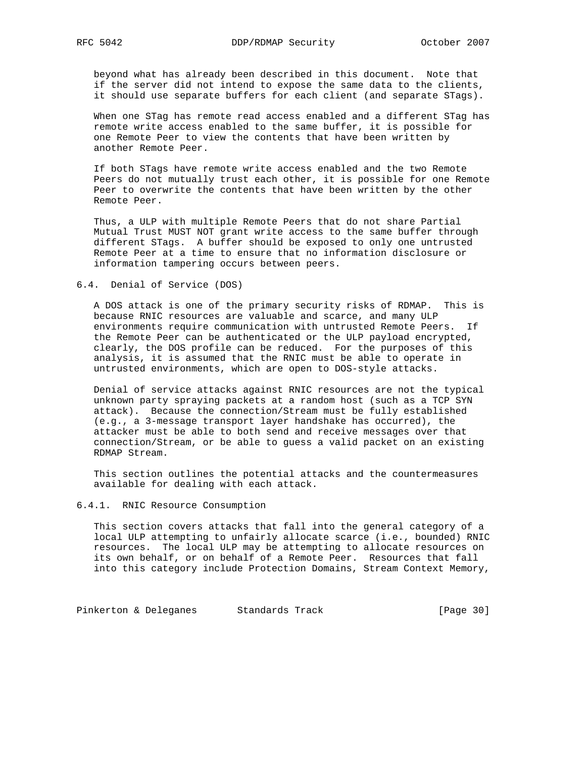beyond what has already been described in this document. Note that if the server did not intend to expose the same data to the clients, it should use separate buffers for each client (and separate STags).

 When one STag has remote read access enabled and a different STag has remote write access enabled to the same buffer, it is possible for one Remote Peer to view the contents that have been written by another Remote Peer.

 If both STags have remote write access enabled and the two Remote Peers do not mutually trust each other, it is possible for one Remote Peer to overwrite the contents that have been written by the other Remote Peer.

 Thus, a ULP with multiple Remote Peers that do not share Partial Mutual Trust MUST NOT grant write access to the same buffer through different STags. A buffer should be exposed to only one untrusted Remote Peer at a time to ensure that no information disclosure or information tampering occurs between peers.

### 6.4. Denial of Service (DOS)

 A DOS attack is one of the primary security risks of RDMAP. This is because RNIC resources are valuable and scarce, and many ULP environments require communication with untrusted Remote Peers. If the Remote Peer can be authenticated or the ULP payload encrypted, clearly, the DOS profile can be reduced. For the purposes of this analysis, it is assumed that the RNIC must be able to operate in untrusted environments, which are open to DOS-style attacks.

 Denial of service attacks against RNIC resources are not the typical unknown party spraying packets at a random host (such as a TCP SYN attack). Because the connection/Stream must be fully established (e.g., a 3-message transport layer handshake has occurred), the attacker must be able to both send and receive messages over that connection/Stream, or be able to guess a valid packet on an existing RDMAP Stream.

 This section outlines the potential attacks and the countermeasures available for dealing with each attack.

### 6.4.1. RNIC Resource Consumption

 This section covers attacks that fall into the general category of a local ULP attempting to unfairly allocate scarce (i.e., bounded) RNIC resources. The local ULP may be attempting to allocate resources on its own behalf, or on behalf of a Remote Peer. Resources that fall into this category include Protection Domains, Stream Context Memory,

Pinkerton & Deleganes Standards Track [Page 30]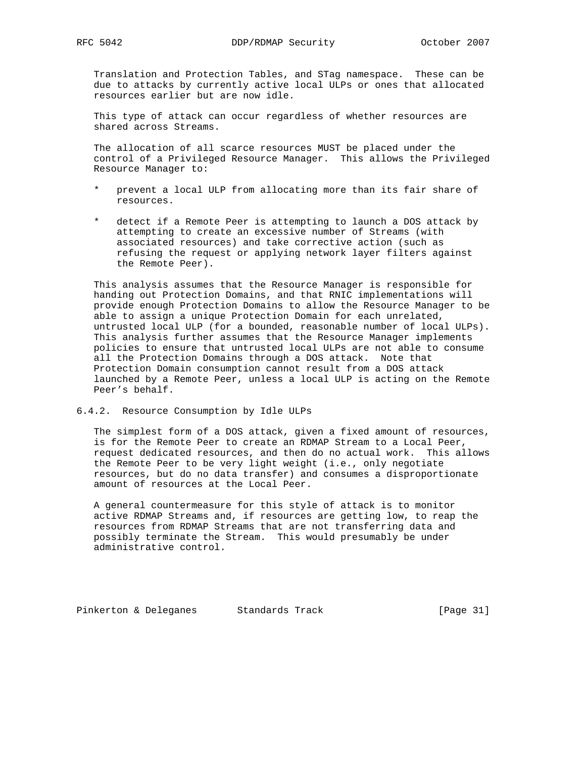Translation and Protection Tables, and STag namespace. These can be due to attacks by currently active local ULPs or ones that allocated resources earlier but are now idle.

 This type of attack can occur regardless of whether resources are shared across Streams.

 The allocation of all scarce resources MUST be placed under the control of a Privileged Resource Manager. This allows the Privileged Resource Manager to:

- prevent a local ULP from allocating more than its fair share of resources.
- detect if a Remote Peer is attempting to launch a DOS attack by attempting to create an excessive number of Streams (with associated resources) and take corrective action (such as refusing the request or applying network layer filters against the Remote Peer).

 This analysis assumes that the Resource Manager is responsible for handing out Protection Domains, and that RNIC implementations will provide enough Protection Domains to allow the Resource Manager to be able to assign a unique Protection Domain for each unrelated, untrusted local ULP (for a bounded, reasonable number of local ULPs). This analysis further assumes that the Resource Manager implements policies to ensure that untrusted local ULPs are not able to consume all the Protection Domains through a DOS attack. Note that Protection Domain consumption cannot result from a DOS attack launched by a Remote Peer, unless a local ULP is acting on the Remote Peer's behalf.

6.4.2. Resource Consumption by Idle ULPs

 The simplest form of a DOS attack, given a fixed amount of resources, is for the Remote Peer to create an RDMAP Stream to a Local Peer, request dedicated resources, and then do no actual work. This allows the Remote Peer to be very light weight (i.e., only negotiate resources, but do no data transfer) and consumes a disproportionate amount of resources at the Local Peer.

 A general countermeasure for this style of attack is to monitor active RDMAP Streams and, if resources are getting low, to reap the resources from RDMAP Streams that are not transferring data and possibly terminate the Stream. This would presumably be under administrative control.

Pinkerton & Deleganes Standards Track [Page 31]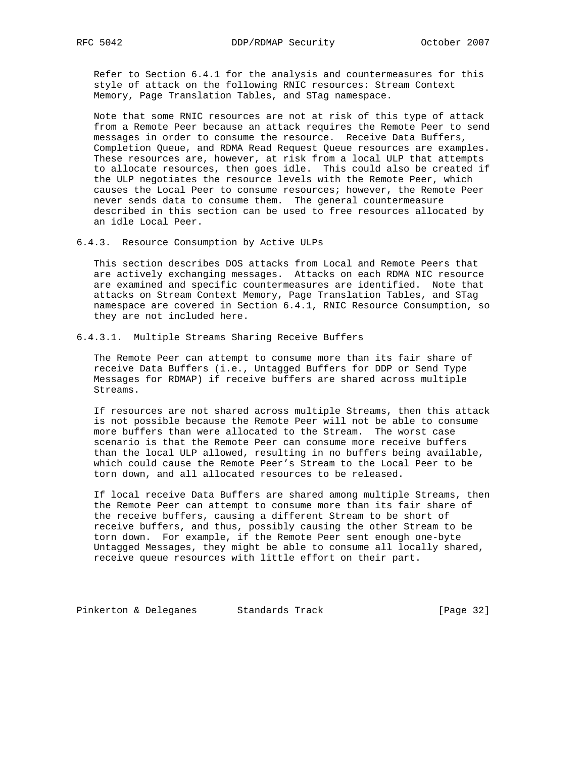Refer to Section 6.4.1 for the analysis and countermeasures for this style of attack on the following RNIC resources: Stream Context Memory, Page Translation Tables, and STag namespace.

 Note that some RNIC resources are not at risk of this type of attack from a Remote Peer because an attack requires the Remote Peer to send messages in order to consume the resource. Receive Data Buffers, Completion Queue, and RDMA Read Request Queue resources are examples. These resources are, however, at risk from a local ULP that attempts to allocate resources, then goes idle. This could also be created if the ULP negotiates the resource levels with the Remote Peer, which causes the Local Peer to consume resources; however, the Remote Peer never sends data to consume them. The general countermeasure described in this section can be used to free resources allocated by an idle Local Peer.

6.4.3. Resource Consumption by Active ULPs

 This section describes DOS attacks from Local and Remote Peers that are actively exchanging messages. Attacks on each RDMA NIC resource are examined and specific countermeasures are identified. Note that attacks on Stream Context Memory, Page Translation Tables, and STag namespace are covered in Section 6.4.1, RNIC Resource Consumption, so they are not included here.

6.4.3.1. Multiple Streams Sharing Receive Buffers

 The Remote Peer can attempt to consume more than its fair share of receive Data Buffers (i.e., Untagged Buffers for DDP or Send Type Messages for RDMAP) if receive buffers are shared across multiple Streams.

 If resources are not shared across multiple Streams, then this attack is not possible because the Remote Peer will not be able to consume more buffers than were allocated to the Stream. The worst case scenario is that the Remote Peer can consume more receive buffers than the local ULP allowed, resulting in no buffers being available, which could cause the Remote Peer's Stream to the Local Peer to be torn down, and all allocated resources to be released.

 If local receive Data Buffers are shared among multiple Streams, then the Remote Peer can attempt to consume more than its fair share of the receive buffers, causing a different Stream to be short of receive buffers, and thus, possibly causing the other Stream to be torn down. For example, if the Remote Peer sent enough one-byte Untagged Messages, they might be able to consume all locally shared, receive queue resources with little effort on their part.

Pinkerton & Deleganes Standards Track (Page 32)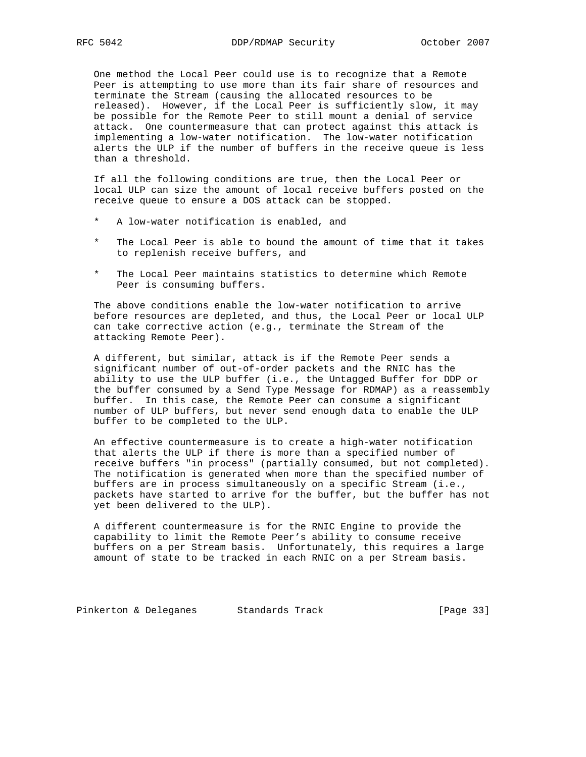One method the Local Peer could use is to recognize that a Remote Peer is attempting to use more than its fair share of resources and terminate the Stream (causing the allocated resources to be released). However, if the Local Peer is sufficiently slow, it may be possible for the Remote Peer to still mount a denial of service attack. One countermeasure that can protect against this attack is implementing a low-water notification. The low-water notification alerts the ULP if the number of buffers in the receive queue is less than a threshold.

 If all the following conditions are true, then the Local Peer or local ULP can size the amount of local receive buffers posted on the receive queue to ensure a DOS attack can be stopped.

- A low-water notification is enabled, and
- The Local Peer is able to bound the amount of time that it takes to replenish receive buffers, and
- \* The Local Peer maintains statistics to determine which Remote Peer is consuming buffers.

 The above conditions enable the low-water notification to arrive before resources are depleted, and thus, the Local Peer or local ULP can take corrective action (e.g., terminate the Stream of the attacking Remote Peer).

 A different, but similar, attack is if the Remote Peer sends a significant number of out-of-order packets and the RNIC has the ability to use the ULP buffer (i.e., the Untagged Buffer for DDP or the buffer consumed by a Send Type Message for RDMAP) as a reassembly buffer. In this case, the Remote Peer can consume a significant number of ULP buffers, but never send enough data to enable the ULP buffer to be completed to the ULP.

 An effective countermeasure is to create a high-water notification that alerts the ULP if there is more than a specified number of receive buffers "in process" (partially consumed, but not completed). The notification is generated when more than the specified number of buffers are in process simultaneously on a specific Stream (i.e., packets have started to arrive for the buffer, but the buffer has not yet been delivered to the ULP).

 A different countermeasure is for the RNIC Engine to provide the capability to limit the Remote Peer's ability to consume receive buffers on a per Stream basis. Unfortunately, this requires a large amount of state to be tracked in each RNIC on a per Stream basis.

Pinkerton & Deleganes Standards Track (Page 33)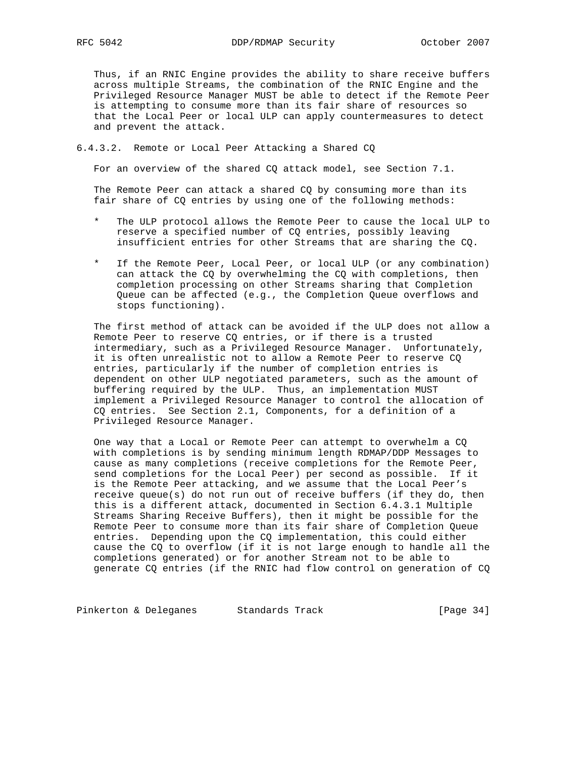Thus, if an RNIC Engine provides the ability to share receive buffers across multiple Streams, the combination of the RNIC Engine and the Privileged Resource Manager MUST be able to detect if the Remote Peer is attempting to consume more than its fair share of resources so that the Local Peer or local ULP can apply countermeasures to detect and prevent the attack.

### 6.4.3.2. Remote or Local Peer Attacking a Shared CQ

For an overview of the shared CQ attack model, see Section 7.1.

 The Remote Peer can attack a shared CQ by consuming more than its fair share of CQ entries by using one of the following methods:

- The ULP protocol allows the Remote Peer to cause the local ULP to reserve a specified number of CQ entries, possibly leaving insufficient entries for other Streams that are sharing the CQ.
- If the Remote Peer, Local Peer, or local ULP (or any combination) can attack the CQ by overwhelming the CQ with completions, then completion processing on other Streams sharing that Completion Queue can be affected (e.g., the Completion Queue overflows and stops functioning).

 The first method of attack can be avoided if the ULP does not allow a Remote Peer to reserve CQ entries, or if there is a trusted intermediary, such as a Privileged Resource Manager. Unfortunately, it is often unrealistic not to allow a Remote Peer to reserve CQ entries, particularly if the number of completion entries is dependent on other ULP negotiated parameters, such as the amount of buffering required by the ULP. Thus, an implementation MUST implement a Privileged Resource Manager to control the allocation of CQ entries. See Section 2.1, Components, for a definition of a Privileged Resource Manager.

 One way that a Local or Remote Peer can attempt to overwhelm a CQ with completions is by sending minimum length RDMAP/DDP Messages to cause as many completions (receive completions for the Remote Peer, send completions for the Local Peer) per second as possible. If it is the Remote Peer attacking, and we assume that the Local Peer's receive queue(s) do not run out of receive buffers (if they do, then this is a different attack, documented in Section 6.4.3.1 Multiple Streams Sharing Receive Buffers), then it might be possible for the Remote Peer to consume more than its fair share of Completion Queue entries. Depending upon the CQ implementation, this could either cause the CQ to overflow (if it is not large enough to handle all the completions generated) or for another Stream not to be able to generate CQ entries (if the RNIC had flow control on generation of CQ

Pinkerton & Deleganes Standards Track [Page 34]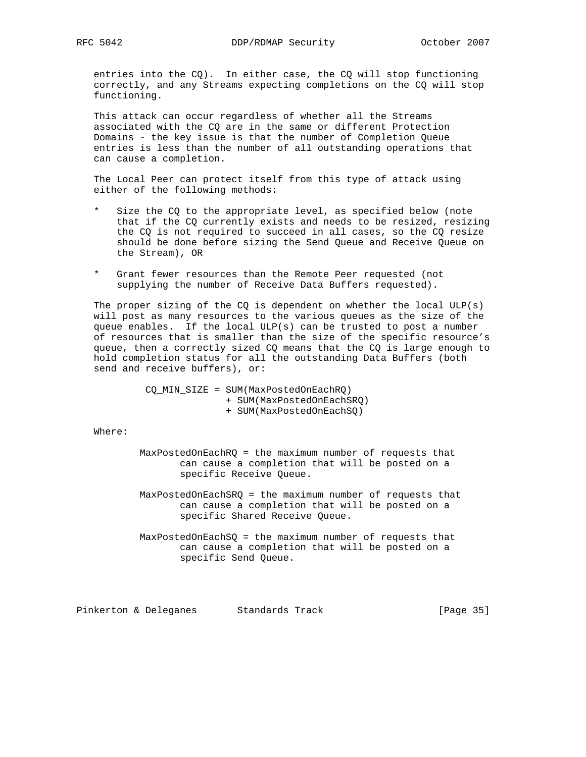entries into the CQ). In either case, the CQ will stop functioning correctly, and any Streams expecting completions on the CQ will stop functioning.

 This attack can occur regardless of whether all the Streams associated with the CQ are in the same or different Protection Domains - the key issue is that the number of Completion Queue entries is less than the number of all outstanding operations that can cause a completion.

 The Local Peer can protect itself from this type of attack using either of the following methods:

- Size the CQ to the appropriate level, as specified below (note that if the CQ currently exists and needs to be resized, resizing the CQ is not required to succeed in all cases, so the CQ resize should be done before sizing the Send Queue and Receive Queue on the Stream), OR
- \* Grant fewer resources than the Remote Peer requested (not supplying the number of Receive Data Buffers requested).

The proper sizing of the CQ is dependent on whether the local  $ULP(s)$  will post as many resources to the various queues as the size of the queue enables. If the local ULP(s) can be trusted to post a number of resources that is smaller than the size of the specific resource's queue, then a correctly sized CQ means that the CQ is large enough to hold completion status for all the outstanding Data Buffers (both send and receive buffers), or:

> CQ\_MIN\_SIZE = SUM(MaxPostedOnEachRQ) + SUM(MaxPostedOnEachSRQ) + SUM(MaxPostedOnEachSQ)

Where:

- MaxPostedOnEachRQ = the maximum number of requests that can cause a completion that will be posted on a specific Receive Queue.
- MaxPostedOnEachSRQ = the maximum number of requests that can cause a completion that will be posted on a specific Shared Receive Queue.
- MaxPostedOnEachSQ = the maximum number of requests that can cause a completion that will be posted on a specific Send Queue.

Pinkerton & Deleganes Standards Track [Page 35]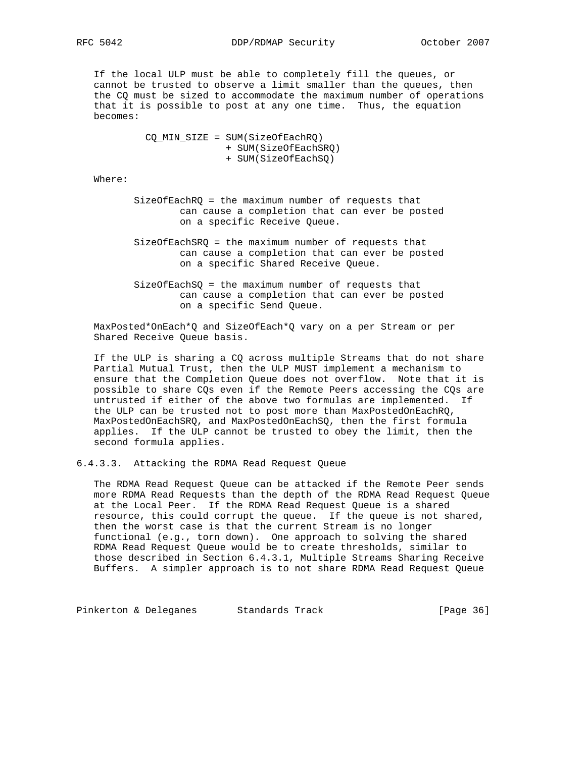If the local ULP must be able to completely fill the queues, or cannot be trusted to observe a limit smaller than the queues, then the CQ must be sized to accommodate the maximum number of operations that it is possible to post at any one time. Thus, the equation becomes:

> CQ\_MIN\_SIZE = SUM(SizeOfEachRQ) + SUM(SizeOfEachSRQ) + SUM(SizeOfEachSQ)

Where:

- SizeOfEachRQ = the maximum number of requests that can cause a completion that can ever be posted on a specific Receive Queue.
- SizeOfEachSRQ = the maximum number of requests that can cause a completion that can ever be posted on a specific Shared Receive Queue.
- SizeOfEachSQ = the maximum number of requests that can cause a completion that can ever be posted on a specific Send Queue.

 MaxPosted\*OnEach\*Q and SizeOfEach\*Q vary on a per Stream or per Shared Receive Queue basis.

 If the ULP is sharing a CQ across multiple Streams that do not share Partial Mutual Trust, then the ULP MUST implement a mechanism to ensure that the Completion Queue does not overflow. Note that it is possible to share CQs even if the Remote Peers accessing the CQs are untrusted if either of the above two formulas are implemented. If the ULP can be trusted not to post more than MaxPostedOnEachRQ, MaxPostedOnEachSRQ, and MaxPostedOnEachSQ, then the first formula applies. If the ULP cannot be trusted to obey the limit, then the second formula applies.

6.4.3.3. Attacking the RDMA Read Request Queue

 The RDMA Read Request Queue can be attacked if the Remote Peer sends more RDMA Read Requests than the depth of the RDMA Read Request Queue at the Local Peer. If the RDMA Read Request Queue is a shared resource, this could corrupt the queue. If the queue is not shared, then the worst case is that the current Stream is no longer functional (e.g., torn down). One approach to solving the shared RDMA Read Request Queue would be to create thresholds, similar to those described in Section 6.4.3.1, Multiple Streams Sharing Receive Buffers. A simpler approach is to not share RDMA Read Request Queue

Pinkerton & Deleganes Standards Track (Page 36)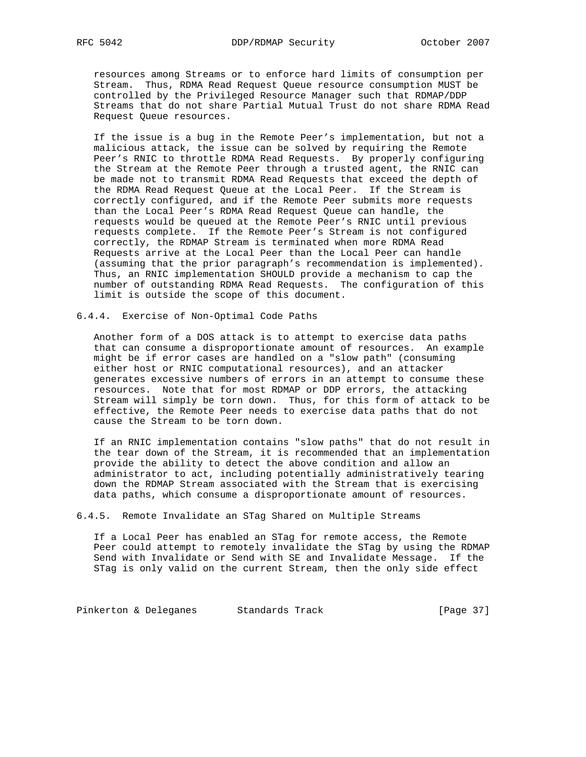resources among Streams or to enforce hard limits of consumption per Stream. Thus, RDMA Read Request Queue resource consumption MUST be controlled by the Privileged Resource Manager such that RDMAP/DDP Streams that do not share Partial Mutual Trust do not share RDMA Read Request Queue resources.

 If the issue is a bug in the Remote Peer's implementation, but not a malicious attack, the issue can be solved by requiring the Remote Peer's RNIC to throttle RDMA Read Requests. By properly configuring the Stream at the Remote Peer through a trusted agent, the RNIC can be made not to transmit RDMA Read Requests that exceed the depth of the RDMA Read Request Queue at the Local Peer. If the Stream is correctly configured, and if the Remote Peer submits more requests than the Local Peer's RDMA Read Request Queue can handle, the requests would be queued at the Remote Peer's RNIC until previous requests complete. If the Remote Peer's Stream is not configured correctly, the RDMAP Stream is terminated when more RDMA Read Requests arrive at the Local Peer than the Local Peer can handle (assuming that the prior paragraph's recommendation is implemented). Thus, an RNIC implementation SHOULD provide a mechanism to cap the number of outstanding RDMA Read Requests. The configuration of this limit is outside the scope of this document.

### 6.4.4. Exercise of Non-Optimal Code Paths

 Another form of a DOS attack is to attempt to exercise data paths that can consume a disproportionate amount of resources. An example might be if error cases are handled on a "slow path" (consuming either host or RNIC computational resources), and an attacker generates excessive numbers of errors in an attempt to consume these resources. Note that for most RDMAP or DDP errors, the attacking Stream will simply be torn down. Thus, for this form of attack to be effective, the Remote Peer needs to exercise data paths that do not cause the Stream to be torn down.

 If an RNIC implementation contains "slow paths" that do not result in the tear down of the Stream, it is recommended that an implementation provide the ability to detect the above condition and allow an administrator to act, including potentially administratively tearing down the RDMAP Stream associated with the Stream that is exercising data paths, which consume a disproportionate amount of resources.

### 6.4.5. Remote Invalidate an STag Shared on Multiple Streams

 If a Local Peer has enabled an STag for remote access, the Remote Peer could attempt to remotely invalidate the STag by using the RDMAP Send with Invalidate or Send with SE and Invalidate Message. If the STag is only valid on the current Stream, then the only side effect

Pinkerton & Deleganes Standards Track (Page 37)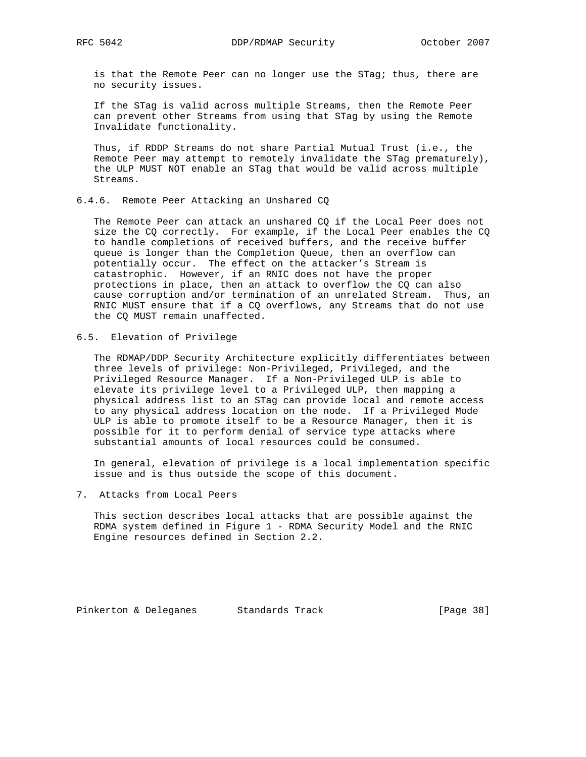is that the Remote Peer can no longer use the STag; thus, there are no security issues.

 If the STag is valid across multiple Streams, then the Remote Peer can prevent other Streams from using that STag by using the Remote Invalidate functionality.

 Thus, if RDDP Streams do not share Partial Mutual Trust (i.e., the Remote Peer may attempt to remotely invalidate the STag prematurely), the ULP MUST NOT enable an STag that would be valid across multiple Streams.

6.4.6. Remote Peer Attacking an Unshared CQ

 The Remote Peer can attack an unshared CQ if the Local Peer does not size the CQ correctly. For example, if the Local Peer enables the CQ to handle completions of received buffers, and the receive buffer queue is longer than the Completion Queue, then an overflow can potentially occur. The effect on the attacker's Stream is catastrophic. However, if an RNIC does not have the proper protections in place, then an attack to overflow the CQ can also cause corruption and/or termination of an unrelated Stream. Thus, an RNIC MUST ensure that if a CQ overflows, any Streams that do not use the CQ MUST remain unaffected.

6.5. Elevation of Privilege

 The RDMAP/DDP Security Architecture explicitly differentiates between three levels of privilege: Non-Privileged, Privileged, and the Privileged Resource Manager. If a Non-Privileged ULP is able to elevate its privilege level to a Privileged ULP, then mapping a physical address list to an STag can provide local and remote access to any physical address location on the node. If a Privileged Mode ULP is able to promote itself to be a Resource Manager, then it is possible for it to perform denial of service type attacks where substantial amounts of local resources could be consumed.

 In general, elevation of privilege is a local implementation specific issue and is thus outside the scope of this document.

7. Attacks from Local Peers

 This section describes local attacks that are possible against the RDMA system defined in Figure 1 - RDMA Security Model and the RNIC Engine resources defined in Section 2.2.

Pinkerton & Deleganes Standards Track [Page 38]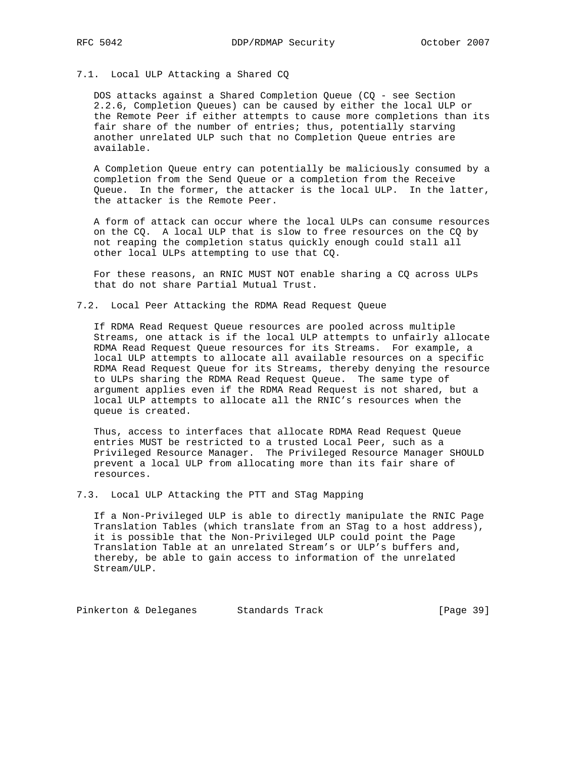# 7.1. Local ULP Attacking a Shared CQ

 DOS attacks against a Shared Completion Queue (CQ - see Section 2.2.6, Completion Queues) can be caused by either the local ULP or the Remote Peer if either attempts to cause more completions than its fair share of the number of entries; thus, potentially starving another unrelated ULP such that no Completion Queue entries are available.

 A Completion Queue entry can potentially be maliciously consumed by a completion from the Send Queue or a completion from the Receive Queue. In the former, the attacker is the local ULP. In the latter, the attacker is the Remote Peer.

 A form of attack can occur where the local ULPs can consume resources on the CQ. A local ULP that is slow to free resources on the CQ by not reaping the completion status quickly enough could stall all other local ULPs attempting to use that CQ.

 For these reasons, an RNIC MUST NOT enable sharing a CQ across ULPs that do not share Partial Mutual Trust.

### 7.2. Local Peer Attacking the RDMA Read Request Queue

 If RDMA Read Request Queue resources are pooled across multiple Streams, one attack is if the local ULP attempts to unfairly allocate RDMA Read Request Queue resources for its Streams. For example, a local ULP attempts to allocate all available resources on a specific RDMA Read Request Queue for its Streams, thereby denying the resource to ULPs sharing the RDMA Read Request Queue. The same type of argument applies even if the RDMA Read Request is not shared, but a local ULP attempts to allocate all the RNIC's resources when the queue is created.

 Thus, access to interfaces that allocate RDMA Read Request Queue entries MUST be restricted to a trusted Local Peer, such as a Privileged Resource Manager. The Privileged Resource Manager SHOULD prevent a local ULP from allocating more than its fair share of resources.

7.3. Local ULP Attacking the PTT and STag Mapping

 If a Non-Privileged ULP is able to directly manipulate the RNIC Page Translation Tables (which translate from an STag to a host address), it is possible that the Non-Privileged ULP could point the Page Translation Table at an unrelated Stream's or ULP's buffers and, thereby, be able to gain access to information of the unrelated Stream/ULP.

Pinkerton & Deleganes Standards Track (Page 39)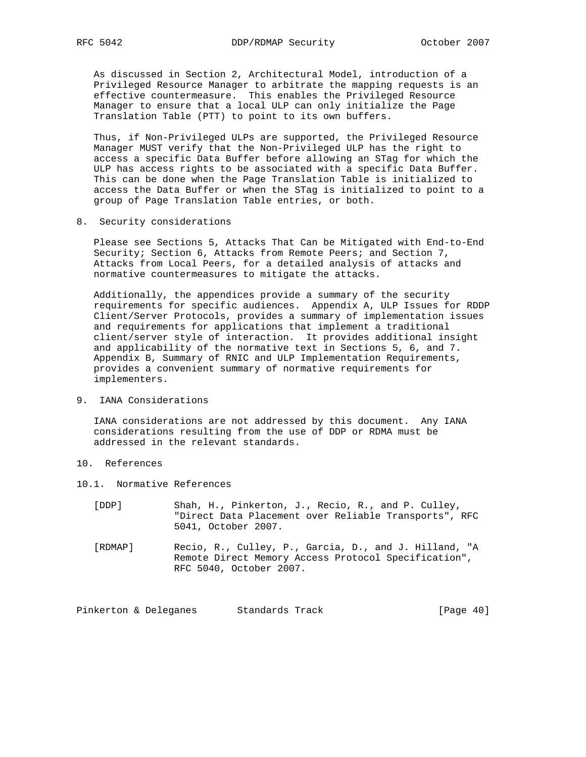As discussed in Section 2, Architectural Model, introduction of a Privileged Resource Manager to arbitrate the mapping requests is an effective countermeasure. This enables the Privileged Resource Manager to ensure that a local ULP can only initialize the Page Translation Table (PTT) to point to its own buffers.

 Thus, if Non-Privileged ULPs are supported, the Privileged Resource Manager MUST verify that the Non-Privileged ULP has the right to access a specific Data Buffer before allowing an STag for which the ULP has access rights to be associated with a specific Data Buffer. This can be done when the Page Translation Table is initialized to access the Data Buffer or when the STag is initialized to point to a group of Page Translation Table entries, or both.

8. Security considerations

 Please see Sections 5, Attacks That Can be Mitigated with End-to-End Security; Section 6, Attacks from Remote Peers; and Section 7, Attacks from Local Peers, for a detailed analysis of attacks and normative countermeasures to mitigate the attacks.

 Additionally, the appendices provide a summary of the security requirements for specific audiences. Appendix A, ULP Issues for RDDP Client/Server Protocols, provides a summary of implementation issues and requirements for applications that implement a traditional client/server style of interaction. It provides additional insight and applicability of the normative text in Sections 5, 6, and 7. Appendix B, Summary of RNIC and ULP Implementation Requirements, provides a convenient summary of normative requirements for implementers.

9. IANA Considerations

 IANA considerations are not addressed by this document. Any IANA considerations resulting from the use of DDP or RDMA must be addressed in the relevant standards.

- 10. References
- 10.1. Normative References
	- [DDP] Shah, H., Pinkerton, J., Recio, R., and P. Culley, "Direct Data Placement over Reliable Transports", RFC 5041, October 2007.
	- [RDMAP] Recio, R., Culley, P., Garcia, D., and J. Hilland, "A Remote Direct Memory Access Protocol Specification", RFC 5040, October 2007.

Pinkerton & Deleganes Standards Track (Page 40)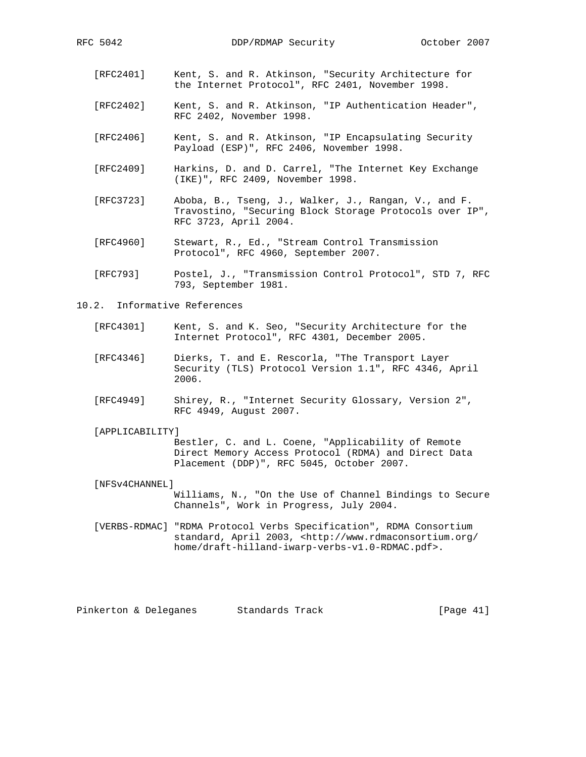- [RFC2401] Kent, S. and R. Atkinson, "Security Architecture for the Internet Protocol", RFC 2401, November 1998.
- [RFC2402] Kent, S. and R. Atkinson, "IP Authentication Header", RFC 2402, November 1998.
- [RFC2406] Kent, S. and R. Atkinson, "IP Encapsulating Security Payload (ESP)", RFC 2406, November 1998.
- [RFC2409] Harkins, D. and D. Carrel, "The Internet Key Exchange (IKE)", RFC 2409, November 1998.
- [RFC3723] Aboba, B., Tseng, J., Walker, J., Rangan, V., and F. Travostino, "Securing Block Storage Protocols over IP", RFC 3723, April 2004.
- [RFC4960] Stewart, R., Ed., "Stream Control Transmission Protocol", RFC 4960, September 2007.
- [RFC793] Postel, J., "Transmission Control Protocol", STD 7, RFC 793, September 1981.

#### 10.2. Informative References

- [RFC4301] Kent, S. and K. Seo, "Security Architecture for the Internet Protocol", RFC 4301, December 2005.
- [RFC4346] Dierks, T. and E. Rescorla, "The Transport Layer Security (TLS) Protocol Version 1.1", RFC 4346, April 2006.
- [RFC4949] Shirey, R., "Internet Security Glossary, Version 2", RFC 4949, August 2007.

#### [APPLICABILITY]

 Bestler, C. and L. Coene, "Applicability of Remote Direct Memory Access Protocol (RDMA) and Direct Data Placement (DDP)", RFC 5045, October 2007.

#### [NFSv4CHANNEL]

 Williams, N., "On the Use of Channel Bindings to Secure Channels", Work in Progress, July 2004.

 [VERBS-RDMAC] "RDMA Protocol Verbs Specification", RDMA Consortium standard, April 2003, <http://www.rdmaconsortium.org/ home/draft-hilland-iwarp-verbs-v1.0-RDMAC.pdf>.

Pinkerton & Deleganes Standards Track [Page 41]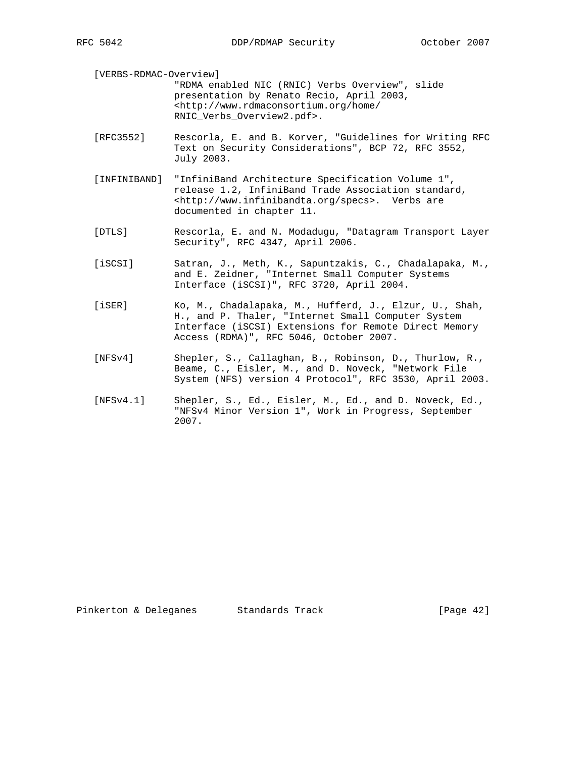[VERBS-RDMAC-Overview] "RDMA enabled NIC (RNIC) Verbs Overview", slide presentation by Renato Recio, April 2003, <http://www.rdmaconsortium.org/home/ RNIC\_Verbs\_Overview2.pdf>.

- [RFC3552] Rescorla, E. and B. Korver, "Guidelines for Writing RFC Text on Security Considerations", BCP 72, RFC 3552, July 2003.
- [INFINIBAND] "InfiniBand Architecture Specification Volume 1", release 1.2, InfiniBand Trade Association standard, <http://www.infinibandta.org/specs>. Verbs are documented in chapter 11.
- [DTLS] Rescorla, E. and N. Modadugu, "Datagram Transport Layer Security", RFC 4347, April 2006.
- [iSCSI] Satran, J., Meth, K., Sapuntzakis, C., Chadalapaka, M., and E. Zeidner, "Internet Small Computer Systems Interface (iSCSI)", RFC 3720, April 2004.
- [iSER] Ko, M., Chadalapaka, M., Hufferd, J., Elzur, U., Shah, H., and P. Thaler, "Internet Small Computer System Interface (iSCSI) Extensions for Remote Direct Memory Access (RDMA)", RFC 5046, October 2007.
- [NFSv4] Shepler, S., Callaghan, B., Robinson, D., Thurlow, R., Beame, C., Eisler, M., and D. Noveck, "Network File System (NFS) version 4 Protocol", RFC 3530, April 2003.
- [NFSv4.1] Shepler, S., Ed., Eisler, M., Ed., and D. Noveck, Ed., "NFSv4 Minor Version 1", Work in Progress, September 2007.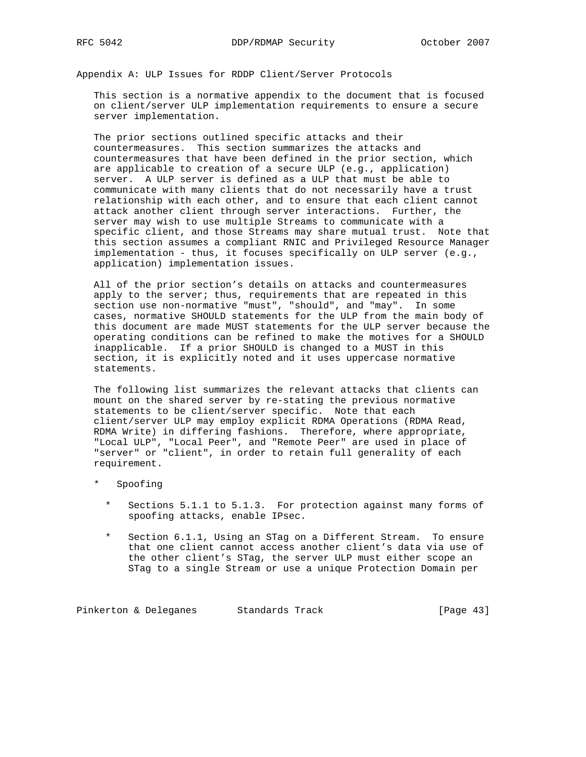Appendix A: ULP Issues for RDDP Client/Server Protocols

 This section is a normative appendix to the document that is focused on client/server ULP implementation requirements to ensure a secure server implementation.

 The prior sections outlined specific attacks and their countermeasures. This section summarizes the attacks and countermeasures that have been defined in the prior section, which are applicable to creation of a secure ULP (e.g., application) server. A ULP server is defined as a ULP that must be able to communicate with many clients that do not necessarily have a trust relationship with each other, and to ensure that each client cannot attack another client through server interactions. Further, the server may wish to use multiple Streams to communicate with a specific client, and those Streams may share mutual trust. Note that this section assumes a compliant RNIC and Privileged Resource Manager implementation - thus, it focuses specifically on ULP server (e.g., application) implementation issues.

 All of the prior section's details on attacks and countermeasures apply to the server; thus, requirements that are repeated in this section use non-normative "must", "should", and "may". In some cases, normative SHOULD statements for the ULP from the main body of this document are made MUST statements for the ULP server because the operating conditions can be refined to make the motives for a SHOULD inapplicable. If a prior SHOULD is changed to a MUST in this section, it is explicitly noted and it uses uppercase normative statements.

 The following list summarizes the relevant attacks that clients can mount on the shared server by re-stating the previous normative statements to be client/server specific. Note that each client/server ULP may employ explicit RDMA Operations (RDMA Read, RDMA Write) in differing fashions. Therefore, where appropriate, "Local ULP", "Local Peer", and "Remote Peer" are used in place of "server" or "client", in order to retain full generality of each requirement.

- Spoofing
	- Sections 5.1.1 to 5.1.3. For protection against many forms of spoofing attacks, enable IPsec.
	- Section 6.1.1, Using an STag on a Different Stream. To ensure that one client cannot access another client's data via use of the other client's STag, the server ULP must either scope an STag to a single Stream or use a unique Protection Domain per

Pinkerton & Deleganes Standards Track (Page 43)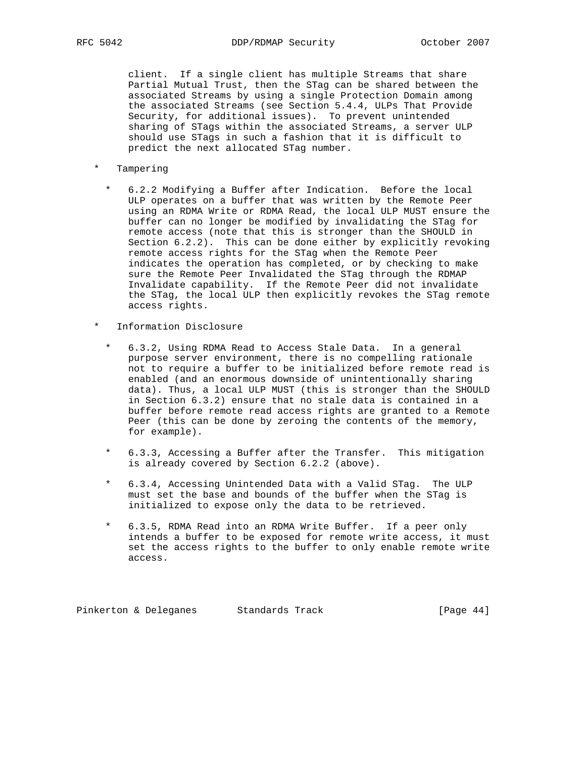client. If a single client has multiple Streams that share Partial Mutual Trust, then the STag can be shared between the associated Streams by using a single Protection Domain among the associated Streams (see Section 5.4.4, ULPs That Provide Security, for additional issues). To prevent unintended sharing of STags within the associated Streams, a server ULP should use STags in such a fashion that it is difficult to predict the next allocated STag number.

- \* Tampering
	- \* 6.2.2 Modifying a Buffer after Indication. Before the local ULP operates on a buffer that was written by the Remote Peer using an RDMA Write or RDMA Read, the local ULP MUST ensure the buffer can no longer be modified by invalidating the STag for remote access (note that this is stronger than the SHOULD in Section 6.2.2). This can be done either by explicitly revoking remote access rights for the STag when the Remote Peer indicates the operation has completed, or by checking to make sure the Remote Peer Invalidated the STag through the RDMAP Invalidate capability. If the Remote Peer did not invalidate the STag, the local ULP then explicitly revokes the STag remote access rights.
- \* Information Disclosure
	- \* 6.3.2, Using RDMA Read to Access Stale Data. In a general purpose server environment, there is no compelling rationale not to require a buffer to be initialized before remote read is enabled (and an enormous downside of unintentionally sharing data). Thus, a local ULP MUST (this is stronger than the SHOULD in Section 6.3.2) ensure that no stale data is contained in a buffer before remote read access rights are granted to a Remote Peer (this can be done by zeroing the contents of the memory, for example).
	- \* 6.3.3, Accessing a Buffer after the Transfer. This mitigation is already covered by Section 6.2.2 (above).
	- \* 6.3.4, Accessing Unintended Data with a Valid STag. The ULP must set the base and bounds of the buffer when the STag is initialized to expose only the data to be retrieved.
	- \* 6.3.5, RDMA Read into an RDMA Write Buffer. If a peer only intends a buffer to be exposed for remote write access, it must set the access rights to the buffer to only enable remote write access.

Pinkerton & Deleganes Standards Track (Page 44)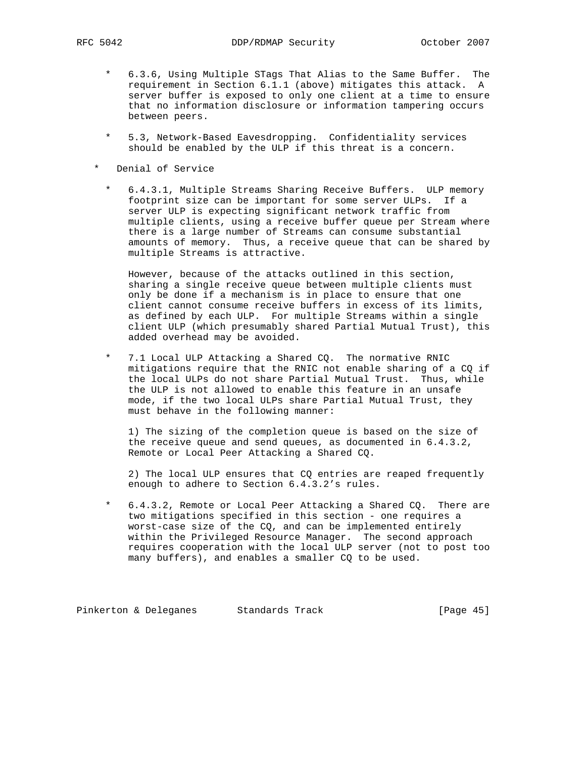- \* 6.3.6, Using Multiple STags That Alias to the Same Buffer. The requirement in Section 6.1.1 (above) mitigates this attack. A server buffer is exposed to only one client at a time to ensure that no information disclosure or information tampering occurs between peers.
- \* 5.3, Network-Based Eavesdropping. Confidentiality services should be enabled by the ULP if this threat is a concern.
- \* Denial of Service
	- \* 6.4.3.1, Multiple Streams Sharing Receive Buffers. ULP memory footprint size can be important for some server ULPs. If a server ULP is expecting significant network traffic from multiple clients, using a receive buffer queue per Stream where there is a large number of Streams can consume substantial amounts of memory. Thus, a receive queue that can be shared by multiple Streams is attractive.

 However, because of the attacks outlined in this section, sharing a single receive queue between multiple clients must only be done if a mechanism is in place to ensure that one client cannot consume receive buffers in excess of its limits, as defined by each ULP. For multiple Streams within a single client ULP (which presumably shared Partial Mutual Trust), this added overhead may be avoided.

 \* 7.1 Local ULP Attacking a Shared CQ. The normative RNIC mitigations require that the RNIC not enable sharing of a CQ if the local ULPs do not share Partial Mutual Trust. Thus, while the ULP is not allowed to enable this feature in an unsafe mode, if the two local ULPs share Partial Mutual Trust, they must behave in the following manner:

 1) The sizing of the completion queue is based on the size of the receive queue and send queues, as documented in 6.4.3.2, Remote or Local Peer Attacking a Shared CQ.

 2) The local ULP ensures that CQ entries are reaped frequently enough to adhere to Section 6.4.3.2's rules.

 \* 6.4.3.2, Remote or Local Peer Attacking a Shared CQ. There are two mitigations specified in this section - one requires a worst-case size of the CQ, and can be implemented entirely within the Privileged Resource Manager. The second approach requires cooperation with the local ULP server (not to post too many buffers), and enables a smaller CQ to be used.

Pinkerton & Deleganes Standards Track (Page 45)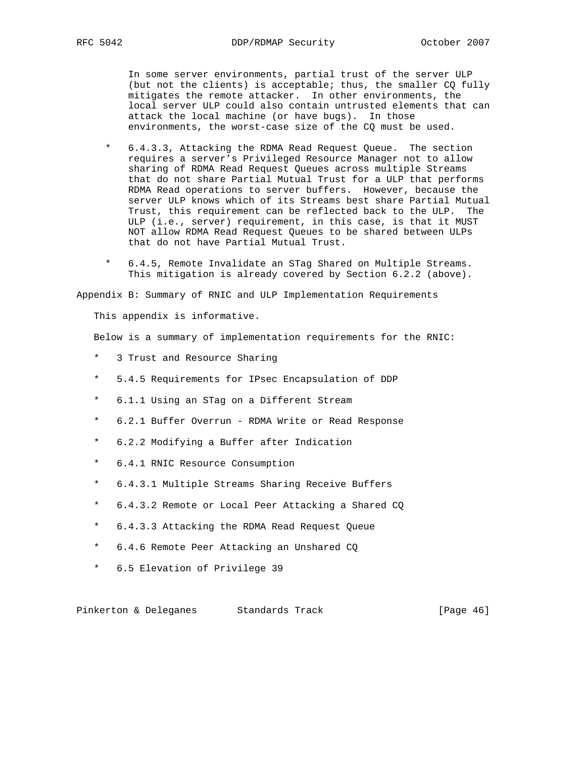In some server environments, partial trust of the server ULP (but not the clients) is acceptable; thus, the smaller CQ fully mitigates the remote attacker. In other environments, the local server ULP could also contain untrusted elements that can attack the local machine (or have bugs). In those environments, the worst-case size of the CQ must be used.

- \* 6.4.3.3, Attacking the RDMA Read Request Queue. The section requires a server's Privileged Resource Manager not to allow sharing of RDMA Read Request Queues across multiple Streams that do not share Partial Mutual Trust for a ULP that performs RDMA Read operations to server buffers. However, because the server ULP knows which of its Streams best share Partial Mutual Trust, this requirement can be reflected back to the ULP. The ULP (i.e., server) requirement, in this case, is that it MUST NOT allow RDMA Read Request Queues to be shared between ULPs that do not have Partial Mutual Trust.
- \* 6.4.5, Remote Invalidate an STag Shared on Multiple Streams. This mitigation is already covered by Section 6.2.2 (above).

Appendix B: Summary of RNIC and ULP Implementation Requirements

This appendix is informative.

Below is a summary of implementation requirements for the RNIC:

- \* 3 Trust and Resource Sharing
- \* 5.4.5 Requirements for IPsec Encapsulation of DDP
- \* 6.1.1 Using an STag on a Different Stream
- \* 6.2.1 Buffer Overrun RDMA Write or Read Response
- \* 6.2.2 Modifying a Buffer after Indication
- \* 6.4.1 RNIC Resource Consumption
- \* 6.4.3.1 Multiple Streams Sharing Receive Buffers
- \* 6.4.3.2 Remote or Local Peer Attacking a Shared CQ
- \* 6.4.3.3 Attacking the RDMA Read Request Queue
- \* 6.4.6 Remote Peer Attacking an Unshared CQ
- \* 6.5 Elevation of Privilege 39

Pinkerton & Deleganes Standards Track [Page 46]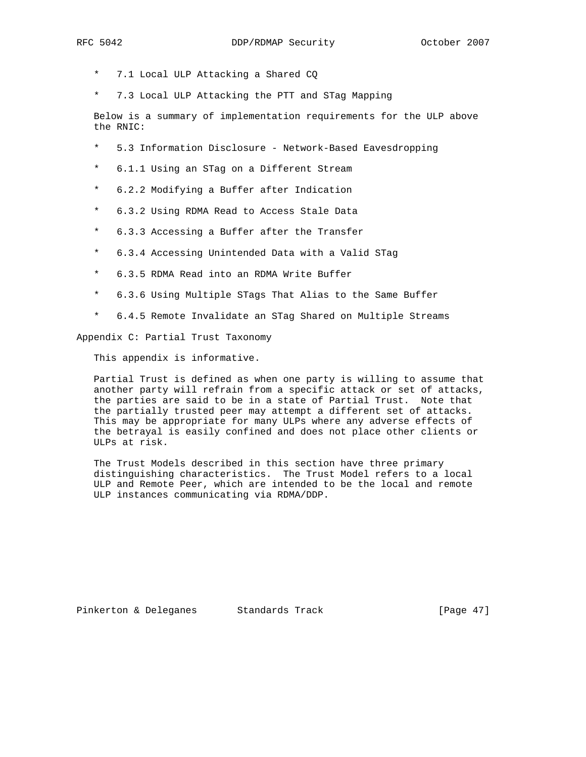- \* 7.1 Local ULP Attacking a Shared CQ
- \* 7.3 Local ULP Attacking the PTT and STag Mapping

 Below is a summary of implementation requirements for the ULP above the RNIC:

- \* 5.3 Information Disclosure Network-Based Eavesdropping
- \* 6.1.1 Using an STag on a Different Stream
- \* 6.2.2 Modifying a Buffer after Indication
- \* 6.3.2 Using RDMA Read to Access Stale Data
- \* 6.3.3 Accessing a Buffer after the Transfer
- \* 6.3.4 Accessing Unintended Data with a Valid STag
- \* 6.3.5 RDMA Read into an RDMA Write Buffer
- \* 6.3.6 Using Multiple STags That Alias to the Same Buffer
- \* 6.4.5 Remote Invalidate an STag Shared on Multiple Streams

Appendix C: Partial Trust Taxonomy

This appendix is informative.

 Partial Trust is defined as when one party is willing to assume that another party will refrain from a specific attack or set of attacks, the parties are said to be in a state of Partial Trust. Note that the partially trusted peer may attempt a different set of attacks. This may be appropriate for many ULPs where any adverse effects of the betrayal is easily confined and does not place other clients or ULPs at risk.

 The Trust Models described in this section have three primary distinguishing characteristics. The Trust Model refers to a local ULP and Remote Peer, which are intended to be the local and remote ULP instances communicating via RDMA/DDP.

Pinkerton & Deleganes Standards Track [Page 47]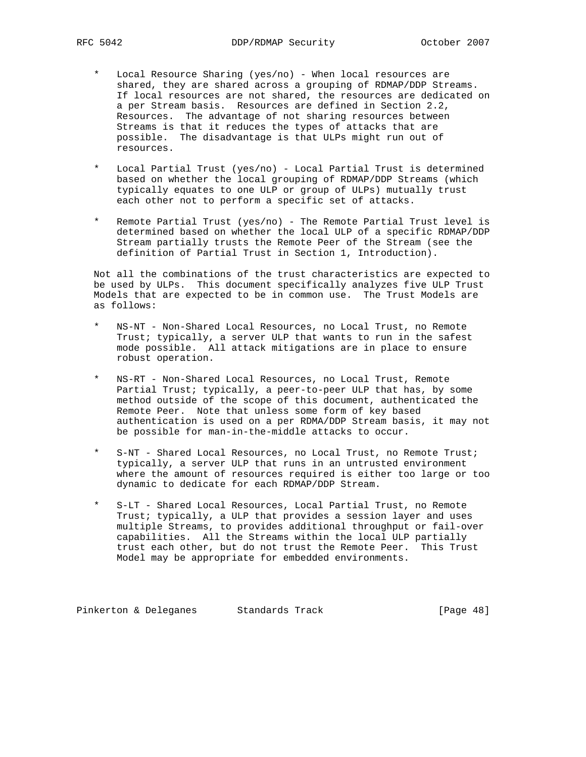- Local Resource Sharing (yes/no) When local resources are shared, they are shared across a grouping of RDMAP/DDP Streams. If local resources are not shared, the resources are dedicated on a per Stream basis. Resources are defined in Section 2.2, Resources. The advantage of not sharing resources between Streams is that it reduces the types of attacks that are possible. The disadvantage is that ULPs might run out of resources.
- Local Partial Trust (yes/no) Local Partial Trust is determined based on whether the local grouping of RDMAP/DDP Streams (which typically equates to one ULP or group of ULPs) mutually trust each other not to perform a specific set of attacks.
- Remote Partial Trust (yes/no) The Remote Partial Trust level is determined based on whether the local ULP of a specific RDMAP/DDP Stream partially trusts the Remote Peer of the Stream (see the definition of Partial Trust in Section 1, Introduction).

 Not all the combinations of the trust characteristics are expected to be used by ULPs. This document specifically analyzes five ULP Trust Models that are expected to be in common use. The Trust Models are as follows:

- NS-NT Non-Shared Local Resources, no Local Trust, no Remote Trust; typically, a server ULP that wants to run in the safest mode possible. All attack mitigations are in place to ensure robust operation.
- NS-RT Non-Shared Local Resources, no Local Trust, Remote Partial Trust; typically, a peer-to-peer ULP that has, by some method outside of the scope of this document, authenticated the Remote Peer. Note that unless some form of key based authentication is used on a per RDMA/DDP Stream basis, it may not be possible for man-in-the-middle attacks to occur.
- S-NT Shared Local Resources, no Local Trust, no Remote Trust; typically, a server ULP that runs in an untrusted environment where the amount of resources required is either too large or too dynamic to dedicate for each RDMAP/DDP Stream.
- S-LT Shared Local Resources, Local Partial Trust, no Remote Trust; typically, a ULP that provides a session layer and uses multiple Streams, to provides additional throughput or fail-over capabilities. All the Streams within the local ULP partially trust each other, but do not trust the Remote Peer. This Trust Model may be appropriate for embedded environments.

Pinkerton & Deleganes Standards Track (Page 48)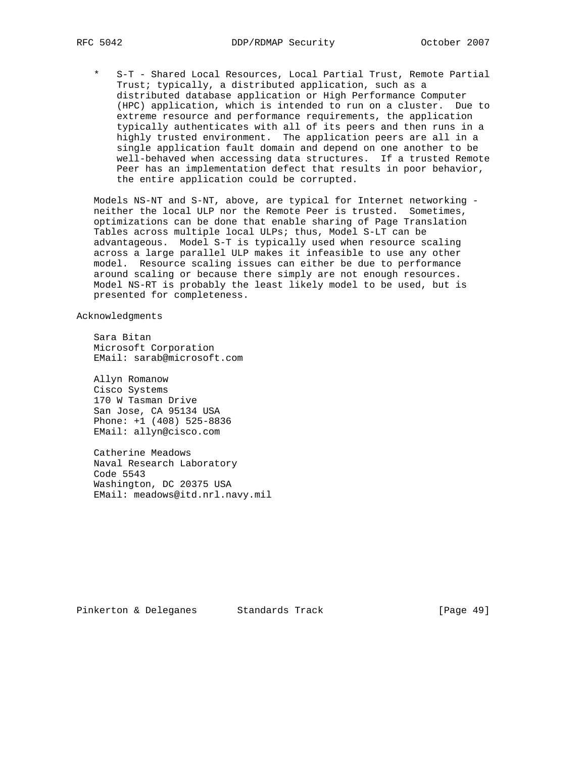S-T - Shared Local Resources, Local Partial Trust, Remote Partial Trust; typically, a distributed application, such as a distributed database application or High Performance Computer (HPC) application, which is intended to run on a cluster. Due to extreme resource and performance requirements, the application typically authenticates with all of its peers and then runs in a highly trusted environment. The application peers are all in a single application fault domain and depend on one another to be well-behaved when accessing data structures. If a trusted Remote Peer has an implementation defect that results in poor behavior, the entire application could be corrupted.

 Models NS-NT and S-NT, above, are typical for Internet networking neither the local ULP nor the Remote Peer is trusted. Sometimes, optimizations can be done that enable sharing of Page Translation Tables across multiple local ULPs; thus, Model S-LT can be advantageous. Model S-T is typically used when resource scaling across a large parallel ULP makes it infeasible to use any other model. Resource scaling issues can either be due to performance around scaling or because there simply are not enough resources. Model NS-RT is probably the least likely model to be used, but is presented for completeness.

Acknowledgments

 Sara Bitan Microsoft Corporation EMail: sarab@microsoft.com

 Allyn Romanow Cisco Systems 170 W Tasman Drive San Jose, CA 95134 USA Phone: +1 (408) 525-8836 EMail: allyn@cisco.com

 Catherine Meadows Naval Research Laboratory Code 5543 Washington, DC 20375 USA EMail: meadows@itd.nrl.navy.mil

Pinkerton & Deleganes Standards Track [Page 49]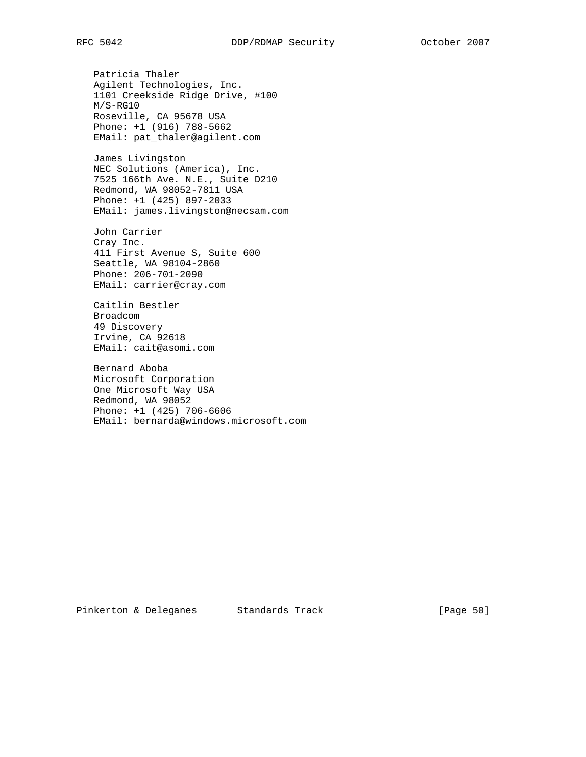Patricia Thaler Agilent Technologies, Inc. 1101 Creekside Ridge Drive, #100 M/S-RG10 Roseville, CA 95678 USA Phone: +1 (916) 788-5662 EMail: pat\_thaler@agilent.com

 James Livingston NEC Solutions (America), Inc. 7525 166th Ave. N.E., Suite D210 Redmond, WA 98052-7811 USA Phone: +1 (425) 897-2033 EMail: james.livingston@necsam.com

 John Carrier Cray Inc. 411 First Avenue S, Suite 600 Seattle, WA 98104-2860 Phone: 206-701-2090 EMail: carrier@cray.com

 Caitlin Bestler Broadcom 49 Discovery Irvine, CA 92618 EMail: cait@asomi.com

 Bernard Aboba Microsoft Corporation One Microsoft Way USA Redmond, WA 98052 Phone: +1 (425) 706-6606 EMail: bernarda@windows.microsoft.com

Pinkerton & Deleganes Standards Track [Page 50]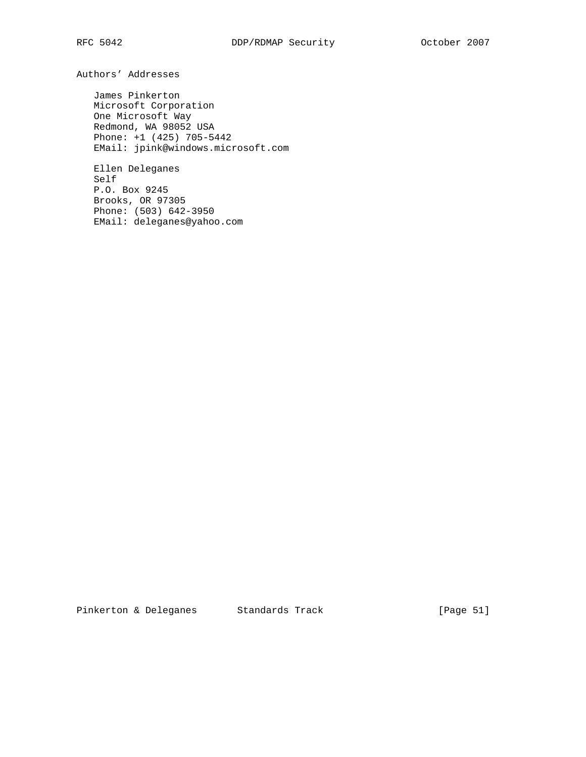Authors' Addresses

 James Pinkerton Microsoft Corporation One Microsoft Way Redmond, WA 98052 USA Phone: +1 (425) 705-5442 EMail: jpink@windows.microsoft.com

 Ellen Deleganes Self P.O. Box 9245 Brooks, OR 97305 Phone: (503) 642-3950 EMail: deleganes@yahoo.com